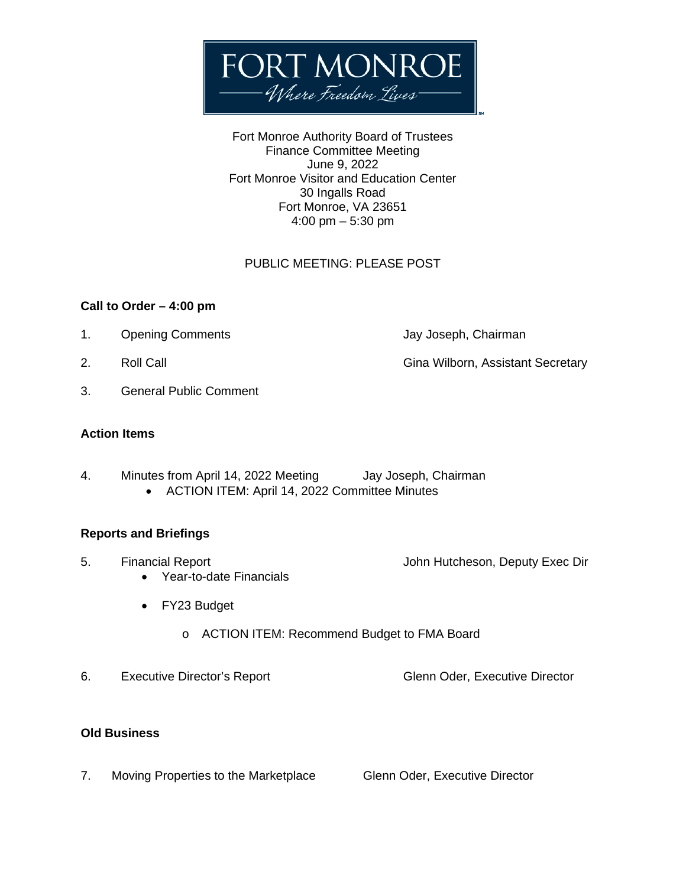

Fort Monroe Authority Board of Trustees Finance Committee Meeting June 9, 2022 Fort Monroe Visitor and Education Center 30 Ingalls Road Fort Monroe, VA 23651 4:00 pm – 5:30 pm

## PUBLIC MEETING: PLEASE POST

### **Call to Order – 4:00 pm**

- 1. Opening Comments **Departments** Jay Joseph, Chairman
- 
- 3. General Public Comment

### **Action Items**

- 4. Minutes from April 14, 2022 Meeting Jay Joseph, Chairman
	- ACTION ITEM: April 14, 2022 Committee Minutes

### **Reports and Briefings**

- 5. Financial Report John Hutcheson, Deputy Exec Dir
	- Year-to-date Financials
	- FY23 Budget
		- o ACTION ITEM: Recommend Budget to FMA Board
- 6. Executive Director's Report Glenn Oder, Executive Director

### **Old Business**

7. Moving Properties to the Marketplace Glenn Oder, Executive Director

- 
- 2. Roll Call Gina Wilborn, Assistant Secretary

- 
-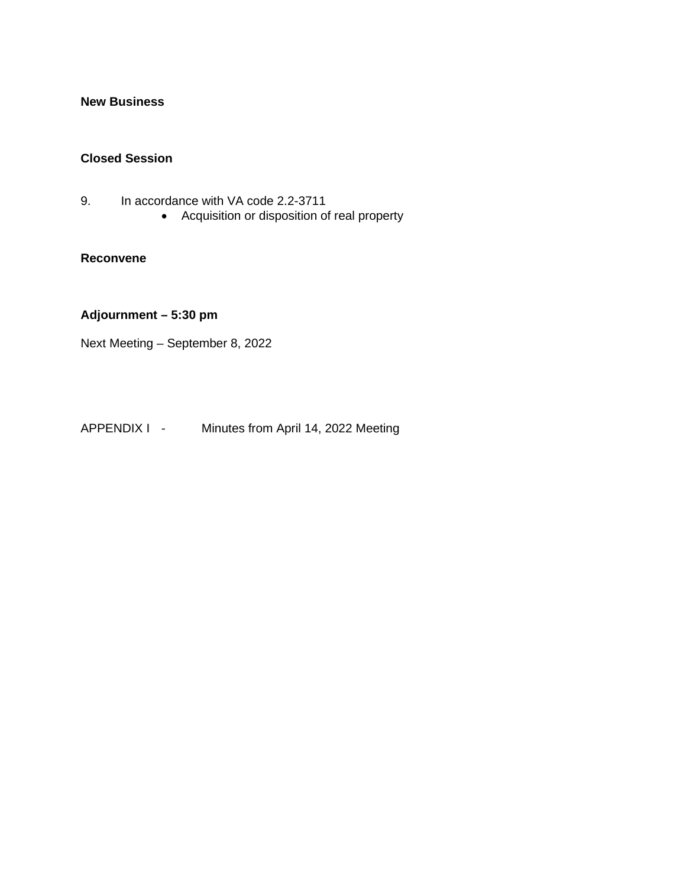## **New Business**

#### **Closed Session**

- 9. In accordance with VA code 2.2-3711
	- Acquisition or disposition of real property

### **Reconvene**

# **Adjournment – 5:30 pm**

Next Meeting – September 8, 2022

APPENDIX I - Minutes from April 14, 2022 Meeting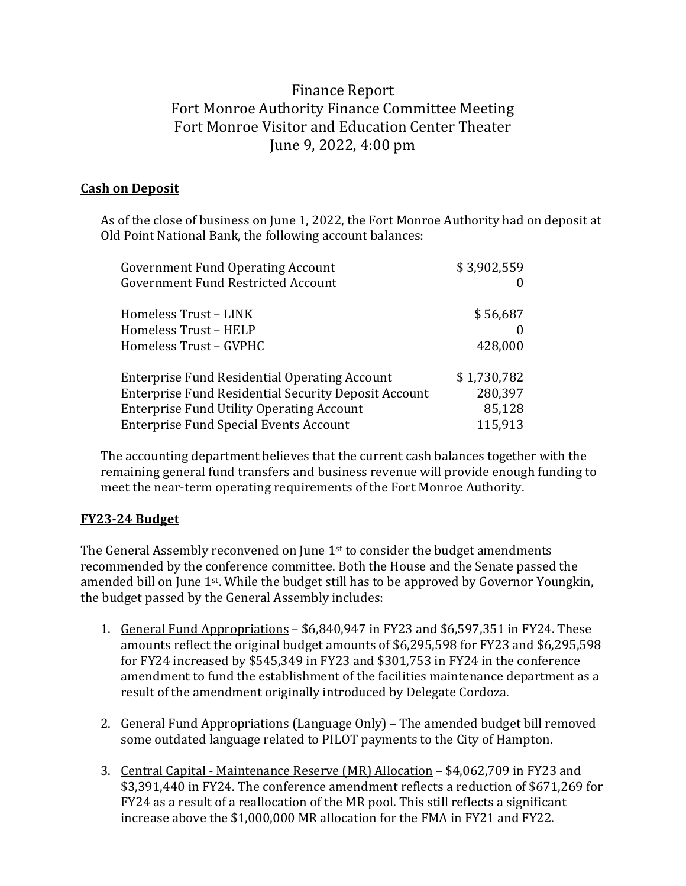# Finance Report Fort Monroe Authority Finance Committee Meeting Fort Monroe Visitor and Education Center Theater June 9, 2022, 4:00 pm

# **Cash on Deposit**

As of the close of business on June 1, 2022, the Fort Monroe Authority had on deposit at Old Point National Bank, the following account balances:

| <b>Government Fund Operating Account</b>                    | \$3,902,559 |
|-------------------------------------------------------------|-------------|
| <b>Government Fund Restricted Account</b>                   |             |
| Homeless Trust - LINK                                       | \$56,687    |
| Homeless Trust - HELP                                       | $\Omega$    |
| Homeless Trust - GVPHC                                      | 428,000     |
| <b>Enterprise Fund Residential Operating Account</b>        | \$1,730,782 |
| <b>Enterprise Fund Residential Security Deposit Account</b> | 280,397     |
| <b>Enterprise Fund Utility Operating Account</b>            | 85,128      |
| <b>Enterprise Fund Special Events Account</b>               | 115,913     |
|                                                             |             |

The accounting department believes that the current cash balances together with the remaining general fund transfers and business revenue will provide enough funding to meet the near-term operating requirements of the Fort Monroe Authority.

# **FY23-24 Budget**

The General Assembly reconvened on June 1<sup>st</sup> to consider the budget amendments recommended by the conference committee. Both the House and the Senate passed the amended bill on June 1st. While the budget still has to be approved by Governor Youngkin, the budget passed by the General Assembly includes:

- 1. General Fund Appropriations \$6,840,947 in FY23 and \$6,597,351 in FY24. These amounts reflect the original budget amounts of \$6,295,598 for FY23 and \$6,295,598 for FY24 increased by \$545,349 in FY23 and \$301,753 in FY24 in the conference amendment to fund the establishment of the facilities maintenance department as a result of the amendment originally introduced by Delegate Cordoza.
- 2. General Fund Appropriations (Language Only) The amended budget bill removed some outdated language related to PILOT payments to the City of Hampton.
- 3. Central Capital Maintenance Reserve (MR) Allocation \$4,062,709 in FY23 and \$3,391,440 in FY24. The conference amendment reflects a reduction of \$671,269 for FY24 as a result of a reallocation of the MR pool. This still reflects a significant increase above the \$1,000,000 MR allocation for the FMA in FY21 and FY22.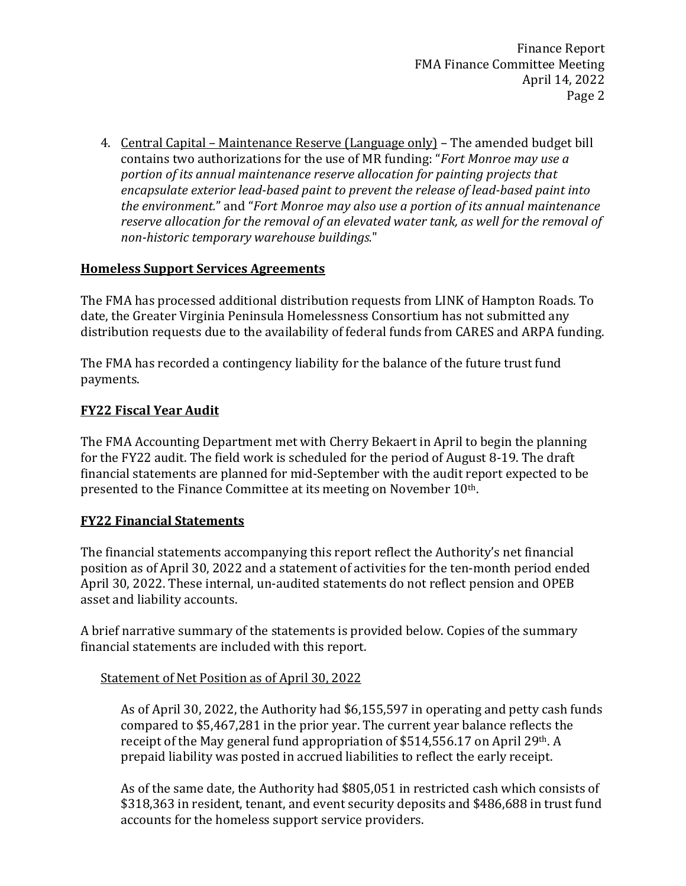4. Central Capital – Maintenance Reserve (Language only) – The amended budget bill contains two authorizations for the use of MR funding: "*Fort Monroe may use a portion of its annual maintenance reserve allocation for painting projects that encapsulate exterior lead-based paint to prevent the release of lead-based paint into the environment.*" and "*Fort Monroe may also use a portion of its annual maintenance reserve allocation for the removal of an elevated water tank, as well for the removal of non-historic temporary warehouse buildings.*"

# **Homeless Support Services Agreements**

The FMA has processed additional distribution requests from LINK of Hampton Roads. To date, the Greater Virginia Peninsula Homelessness Consortium has not submitted any distribution requests due to the availability of federal funds from CARES and ARPA funding.

The FMA has recorded a contingency liability for the balance of the future trust fund payments.

# **FY22 Fiscal Year Audit**

The FMA Accounting Department met with Cherry Bekaert in April to begin the planning for the FY22 audit. The field work is scheduled for the period of August 8-19. The draft financial statements are planned for mid-September with the audit report expected to be presented to the Finance Committee at its meeting on November 10th.

# **FY22 Financial Statements**

The financial statements accompanying this report reflect the Authority's net financial position as of April 30, 2022 and a statement of activities for the ten-month period ended April 30, 2022. These internal, un-audited statements do not reflect pension and OPEB asset and liability accounts.

A brief narrative summary of the statements is provided below. Copies of the summary financial statements are included with this report.

# Statement of Net Position as of April 30, 2022

As of April 30, 2022, the Authority had \$6,155,597 in operating and petty cash funds compared to \$5,467,281 in the prior year. The current year balance reflects the receipt of the May general fund appropriation of \$514,556.17 on April 29<sup>th</sup>. A prepaid liability was posted in accrued liabilities to reflect the early receipt.

As of the same date, the Authority had \$805,051 in restricted cash which consists of \$318,363 in resident, tenant, and event security deposits and \$486,688 in trust fund accounts for the homeless support service providers.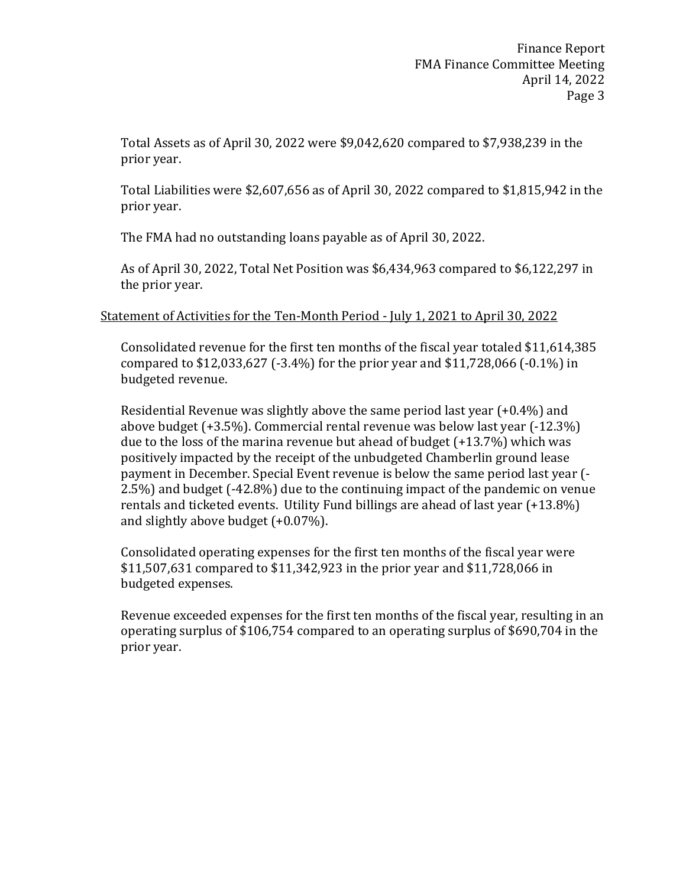Total Assets as of April 30, 2022 were \$9,042,620 compared to \$7,938,239 in the prior year.

Total Liabilities were \$2,607,656 as of April 30, 2022 compared to \$1,815,942 in the prior year.

The FMA had no outstanding loans payable as of April 30, 2022.

As of April 30, 2022, Total Net Position was \$6,434,963 compared to \$6,122,297 in the prior year.

Statement of Activities for the Ten-Month Period - July 1, 2021 to April 30, 2022

Consolidated revenue for the first ten months of the fiscal year totaled \$11,614,385 compared to \$12,033,627 (-3.4%) for the prior year and \$11,728,066 (-0.1%) in budgeted revenue.

Residential Revenue was slightly above the same period last year (+0.4%) and above budget (+3.5%). Commercial rental revenue was below last year (-12.3%) due to the loss of the marina revenue but ahead of budget (+13.7%) which was positively impacted by the receipt of the unbudgeted Chamberlin ground lease payment in December. Special Event revenue is below the same period last year (- 2.5%) and budget (-42.8%) due to the continuing impact of the pandemic on venue rentals and ticketed events. Utility Fund billings are ahead of last year (+13.8%) and slightly above budget (+0.07%).

Consolidated operating expenses for the first ten months of the fiscal year were \$11,507,631 compared to \$11,342,923 in the prior year and \$11,728,066 in budgeted expenses.

Revenue exceeded expenses for the first ten months of the fiscal year, resulting in an operating surplus of \$106,754 compared to an operating surplus of \$690,704 in the prior year.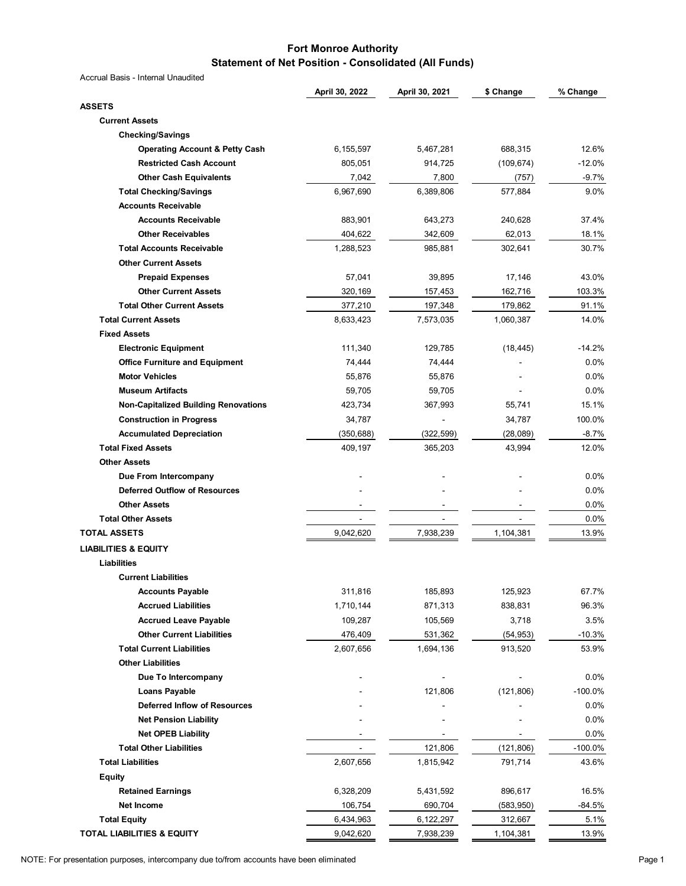#### **Fort Monroe Authority Statement of Net Position - Consolidated (All Funds)**

|                                             | April 30, 2022 | April 30, 2021 | \$ Change  | % Change   |
|---------------------------------------------|----------------|----------------|------------|------------|
| <b>ASSETS</b>                               |                |                |            |            |
| <b>Current Assets</b>                       |                |                |            |            |
| <b>Checking/Savings</b>                     |                |                |            |            |
| <b>Operating Account &amp; Petty Cash</b>   | 6,155,597      | 5,467,281      | 688,315    | 12.6%      |
| <b>Restricted Cash Account</b>              | 805,051        | 914,725        | (109, 674) | $-12.0%$   |
| <b>Other Cash Equivalents</b>               | 7,042          | 7,800          | (757)      | $-9.7%$    |
| <b>Total Checking/Savings</b>               | 6,967,690      | 6,389,806      | 577,884    | 9.0%       |
| <b>Accounts Receivable</b>                  |                |                |            |            |
| <b>Accounts Receivable</b>                  | 883,901        | 643,273        | 240,628    | 37.4%      |
| <b>Other Receivables</b>                    | 404,622        | 342,609        | 62,013     | 18.1%      |
| <b>Total Accounts Receivable</b>            | 1,288,523      | 985,881        | 302,641    | 30.7%      |
| <b>Other Current Assets</b>                 |                |                |            |            |
| <b>Prepaid Expenses</b>                     | 57,041         | 39,895         | 17,146     | 43.0%      |
| <b>Other Current Assets</b>                 | 320,169        | 157,453        | 162,716    | 103.3%     |
| <b>Total Other Current Assets</b>           | 377,210        | 197,348        | 179,862    | 91.1%      |
| <b>Total Current Assets</b>                 | 8,633,423      | 7,573,035      | 1,060,387  | 14.0%      |
| <b>Fixed Assets</b>                         |                |                |            |            |
| <b>Electronic Equipment</b>                 | 111,340        | 129,785        | (18, 445)  | $-14.2%$   |
| <b>Office Furniture and Equipment</b>       | 74,444         | 74,444         |            | 0.0%       |
| <b>Motor Vehicles</b>                       | 55,876         | 55,876         |            | 0.0%       |
| <b>Museum Artifacts</b>                     |                |                |            | 0.0%       |
|                                             | 59,705         | 59,705         |            |            |
| <b>Non-Capitalized Building Renovations</b> | 423,734        | 367,993        | 55,741     | 15.1%      |
| <b>Construction in Progress</b>             | 34,787         |                | 34,787     | 100.0%     |
| <b>Accumulated Depreciation</b>             | (350, 688)     | (322, 599)     | (28, 089)  | $-8.7%$    |
| <b>Total Fixed Assets</b>                   | 409,197        | 365,203        | 43,994     | 12.0%      |
| <b>Other Assets</b>                         |                |                |            |            |
| Due From Intercompany                       |                |                |            | 0.0%       |
| <b>Deferred Outflow of Resources</b>        |                |                |            | 0.0%       |
| <b>Other Assets</b>                         |                |                |            | 0.0%       |
| <b>Total Other Assets</b>                   | -              |                |            | 0.0%       |
| <b>TOTAL ASSETS</b>                         | 9,042,620      | 7,938,239      | 1,104,381  | 13.9%      |
| <b>LIABILITIES &amp; EQUITY</b>             |                |                |            |            |
| Liabilities                                 |                |                |            |            |
| <b>Current Liabilities</b>                  |                |                |            |            |
| <b>Accounts Payable</b>                     | 311,816        | 185,893        | 125,923    | 67.7%      |
| <b>Accrued Liabilities</b>                  | 1,710,144      | 871,313        | 838,831    | 96.3%      |
| <b>Accrued Leave Payable</b>                | 109,287        | 105,569        | 3,718      | 3.5%       |
| <b>Other Current Liabilities</b>            | 476,409        | 531,362        | (54, 953)  | $-10.3%$   |
| <b>Total Current Liabilities</b>            | 2,607,656      | 1,694,136      | 913,520    | 53.9%      |
| <b>Other Liabilities</b>                    |                |                |            |            |
| Due To Intercompany                         |                |                |            | 0.0%       |
| <b>Loans Payable</b>                        |                | 121,806        | (121, 806) | $-100.0%$  |
| <b>Deferred Inflow of Resources</b>         |                |                |            | 0.0%       |
| <b>Net Pension Liability</b>                |                |                |            | $0.0\%$    |
| <b>Net OPEB Liability</b>                   |                |                |            | 0.0%       |
| <b>Total Other Liabilities</b>              |                | 121,806        | (121, 806) | $-100.0\%$ |
| <b>Total Liabilities</b>                    | 2,607,656      | 1,815,942      | 791,714    | 43.6%      |
| <b>Equity</b>                               |                |                |            |            |
| <b>Retained Earnings</b>                    | 6,328,209      | 5,431,592      | 896,617    | 16.5%      |
| <b>Net Income</b>                           | 106,754        | 690,704        | (583, 950) | $-84.5%$   |
| <b>Total Equity</b>                         | 6,434,963      | 6,122,297      | 312,667    | 5.1%       |
| TOTAL LIABILITIES & EQUITY                  | 9,042,620      | 7,938,239      | 1,104,381  | 13.9%      |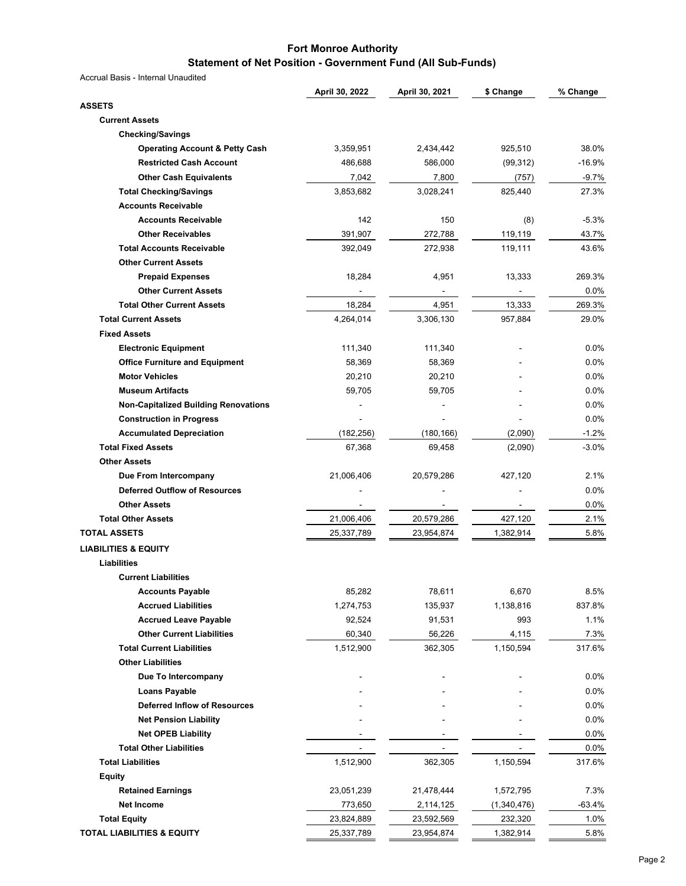#### **Fort Monroe Authority Statement of Net Position - Government Fund (All Sub-Funds)**

|                                             | April 30, 2022 | April 30, 2021 | \$ Change   | % Change |
|---------------------------------------------|----------------|----------------|-------------|----------|
| <b>ASSETS</b>                               |                |                |             |          |
| <b>Current Assets</b>                       |                |                |             |          |
| <b>Checking/Savings</b>                     |                |                |             |          |
| <b>Operating Account &amp; Petty Cash</b>   | 3,359,951      | 2,434,442      | 925,510     | 38.0%    |
| <b>Restricted Cash Account</b>              | 486,688        | 586,000        | (99, 312)   | $-16.9%$ |
| <b>Other Cash Equivalents</b>               | 7,042          | 7,800          | (757)       | $-9.7%$  |
| <b>Total Checking/Savings</b>               | 3,853,682      | 3,028,241      | 825,440     | 27.3%    |
| <b>Accounts Receivable</b>                  |                |                |             |          |
| <b>Accounts Receivable</b>                  | 142            | 150            | (8)         | $-5.3%$  |
| <b>Other Receivables</b>                    | 391,907        | 272,788        | 119,119     | 43.7%    |
| <b>Total Accounts Receivable</b>            | 392,049        | 272,938        | 119,111     | 43.6%    |
| <b>Other Current Assets</b>                 |                |                |             |          |
| <b>Prepaid Expenses</b>                     | 18,284         | 4,951          | 13,333      | 269.3%   |
| <b>Other Current Assets</b>                 |                |                |             | 0.0%     |
| <b>Total Other Current Assets</b>           | 18,284         | 4,951          | 13,333      | 269.3%   |
| <b>Total Current Assets</b>                 | 4,264,014      | 3,306,130      | 957,884     | 29.0%    |
| <b>Fixed Assets</b>                         |                |                |             |          |
| <b>Electronic Equipment</b>                 | 111,340        | 111,340        |             | $0.0\%$  |
| <b>Office Furniture and Equipment</b>       | 58,369         | 58,369         |             | 0.0%     |
| <b>Motor Vehicles</b>                       | 20,210         | 20,210         |             | 0.0%     |
| <b>Museum Artifacts</b>                     | 59,705         | 59,705         |             | 0.0%     |
| <b>Non-Capitalized Building Renovations</b> |                |                |             | 0.0%     |
| <b>Construction in Progress</b>             |                |                |             | 0.0%     |
| <b>Accumulated Depreciation</b>             | (182, 256)     | (180, 166)     | (2,090)     | $-1.2%$  |
| <b>Total Fixed Assets</b>                   | 67,368         | 69,458         |             | $-3.0%$  |
| <b>Other Assets</b>                         |                |                | (2,090)     |          |
|                                             |                |                |             |          |
| Due From Intercompany                       | 21,006,406     | 20,579,286     | 427,120     | 2.1%     |
| <b>Deferred Outflow of Resources</b>        |                |                |             | $0.0\%$  |
| <b>Other Assets</b>                         |                |                |             | 0.0%     |
| <b>Total Other Assets</b>                   | 21,006,406     | 20,579,286     | 427,120     | 2.1%     |
| <b>TOTAL ASSETS</b>                         | 25,337,789     | 23,954,874     | 1,382,914   | 5.8%     |
| <b>LIABILITIES &amp; EQUITY</b>             |                |                |             |          |
| Liabilities                                 |                |                |             |          |
| <b>Current Liabilities</b>                  |                |                |             |          |
| <b>Accounts Payable</b>                     | 85,282         | 78,611         | 6,670       | 8.5%     |
| <b>Accrued Liabilities</b>                  | 1,274,753      | 135,937        | 1,138,816   | 837.8%   |
| <b>Accrued Leave Payable</b>                | 92,524         | 91,531         | 993         | 1.1%     |
| <b>Other Current Liabilities</b>            | 60,340         | 56,226         | 4,115       | 7.3%     |
| <b>Total Current Liabilities</b>            | 1,512,900      | 362,305        | 1,150,594   | 317.6%   |
| <b>Other Liabilities</b>                    |                |                |             |          |
| Due To Intercompany                         |                |                |             | $0.0\%$  |
| <b>Loans Payable</b>                        |                |                |             | 0.0%     |
| <b>Deferred Inflow of Resources</b>         |                |                |             | 0.0%     |
| <b>Net Pension Liability</b>                |                |                |             | 0.0%     |
| <b>Net OPEB Liability</b>                   |                |                |             | 0.0%     |
| <b>Total Other Liabilities</b>              |                |                |             | 0.0%     |
| <b>Total Liabilities</b>                    | 1,512,900      | 362,305        | 1,150,594   | 317.6%   |
| <b>Equity</b>                               |                |                |             |          |
| <b>Retained Earnings</b>                    | 23,051,239     | 21,478,444     | 1,572,795   | 7.3%     |
| <b>Net Income</b>                           | 773,650        | 2,114,125      | (1,340,476) | $-63.4%$ |
| <b>Total Equity</b>                         | 23,824,889     | 23,592,569     | 232,320     | 1.0%     |
| <b>TOTAL LIABILITIES &amp; EQUITY</b>       | 25,337,789     | 23,954,874     | 1,382,914   | 5.8%     |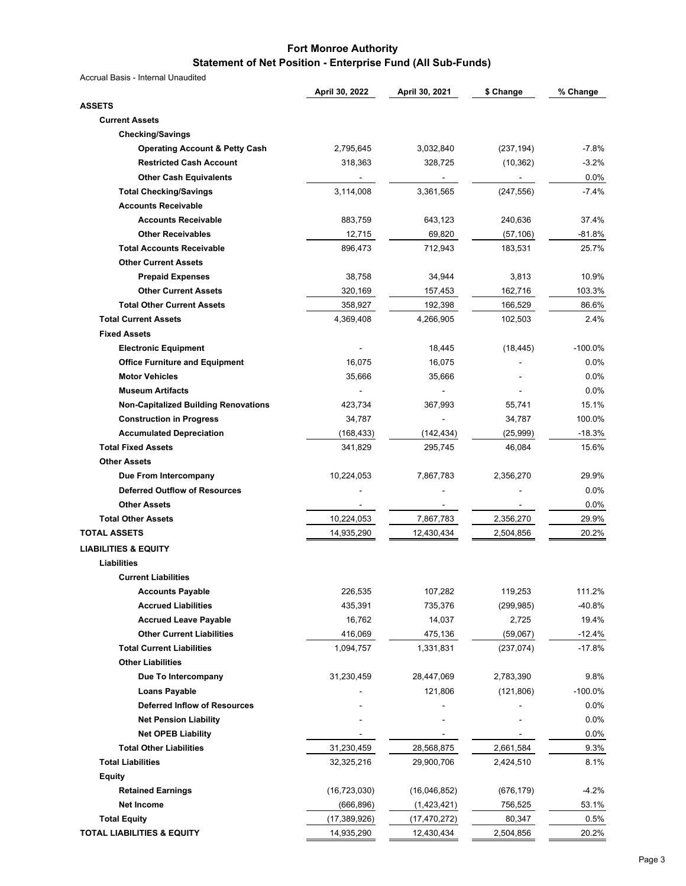#### **Fort Monroe Authority Statement of Net Position - Enterprise Fund (All Sub-Funds)**

|                                             | April 30, 2022           | April 30, 2021 | \$ Change  | % Change   |
|---------------------------------------------|--------------------------|----------------|------------|------------|
| <b>ASSETS</b>                               |                          |                |            |            |
| <b>Current Assets</b>                       |                          |                |            |            |
| <b>Checking/Savings</b>                     |                          |                |            |            |
| <b>Operating Account &amp; Petty Cash</b>   | 2,795,645                | 3,032,840      | (237, 194) | $-7.8%$    |
| <b>Restricted Cash Account</b>              | 318,363                  | 328,725        | (10, 362)  | $-3.2%$    |
| <b>Other Cash Equivalents</b>               |                          |                |            | 0.0%       |
| <b>Total Checking/Savings</b>               | 3,114,008                | 3,361,565      | (247, 556) | $-7.4%$    |
| <b>Accounts Receivable</b>                  |                          |                |            |            |
| <b>Accounts Receivable</b>                  | 883,759                  | 643,123        | 240,636    | 37.4%      |
| <b>Other Receivables</b>                    | 12,715                   | 69,820         | (57, 106)  | $-81.8%$   |
| <b>Total Accounts Receivable</b>            | 896,473                  | 712,943        | 183,531    | 25.7%      |
| <b>Other Current Assets</b>                 |                          |                |            |            |
| <b>Prepaid Expenses</b>                     | 38,758                   | 34,944         | 3,813      | 10.9%      |
| <b>Other Current Assets</b>                 | 320,169                  | 157,453        | 162,716    | 103.3%     |
| <b>Total Other Current Assets</b>           | 358,927                  | 192,398        | 166,529    | 86.6%      |
| <b>Total Current Assets</b>                 | 4,369,408                | 4,266,905      | 102,503    | 2.4%       |
| <b>Fixed Assets</b>                         |                          |                |            |            |
| <b>Electronic Equipment</b>                 |                          | 18,445         | (18, 445)  | $-100.0%$  |
| <b>Office Furniture and Equipment</b>       | 16,075                   | 16,075         |            | 0.0%       |
| <b>Motor Vehicles</b>                       | 35,666                   | 35,666         |            | 0.0%       |
| <b>Museum Artifacts</b>                     |                          |                |            | 0.0%       |
| <b>Non-Capitalized Building Renovations</b> | 423,734                  | 367,993        | 55,741     | 15.1%      |
| <b>Construction in Progress</b>             | 34,787                   |                | 34,787     | 100.0%     |
| <b>Accumulated Depreciation</b>             | (168,433)                | (142, 434)     | (25, 999)  | $-18.3%$   |
| <b>Total Fixed Assets</b>                   | 341,829                  | 295,745        | 46,084     | 15.6%      |
| <b>Other Assets</b>                         |                          |                |            |            |
| Due From Intercompany                       | 10,224,053               | 7,867,783      | 2,356,270  | 29.9%      |
| <b>Deferred Outflow of Resources</b>        |                          |                |            | 0.0%       |
| <b>Other Assets</b>                         |                          |                |            | 0.0%       |
| <b>Total Other Assets</b>                   |                          | 7,867,783      | 2,356,270  | 29.9%      |
| <b>TOTAL ASSETS</b>                         | 10,224,053<br>14,935,290 | 12,430,434     | 2,504,856  | 20.2%      |
|                                             |                          |                |            |            |
| <b>LIABILITIES &amp; EQUITY</b>             |                          |                |            |            |
| Liabilities                                 |                          |                |            |            |
| <b>Current Liabilities</b>                  |                          |                |            |            |
| <b>Accounts Payable</b>                     | 226,535                  | 107,282        | 119,253    | 111.2%     |
| <b>Accrued Liabilities</b>                  | 435,391                  | 735,376        | (299, 985) | $-40.8%$   |
| <b>Accrued Leave Payable</b>                | 16,762                   | 14,037         | 2,725      | 19.4%      |
| <b>Other Current Liabilities</b>            | 416,069                  | 475,136        | (59,067)   | $-12.4%$   |
| <b>Total Current Liabilities</b>            | 1,094,757                | 1,331,831      | (237, 074) | $-17.8%$   |
| <b>Other Liabilities</b>                    |                          |                |            |            |
| Due To Intercompany                         | 31,230,459               | 28,447,069     | 2,783,390  | 9.8%       |
| <b>Loans Payable</b>                        |                          | 121,806        | (121, 806) | $-100.0\%$ |
| <b>Deferred Inflow of Resources</b>         |                          |                |            | 0.0%       |
| <b>Net Pension Liability</b>                |                          |                |            | 0.0%       |
| <b>Net OPEB Liability</b>                   |                          |                |            | 0.0%       |
| <b>Total Other Liabilities</b>              | 31,230,459               | 28,568,875     | 2,661,584  | 9.3%       |
| <b>Total Liabilities</b>                    | 32,325,216               | 29,900,706     | 2,424,510  | 8.1%       |
| Equity                                      |                          |                |            |            |
| <b>Retained Earnings</b>                    | (16, 723, 030)           | (16,046,852)   | (676, 179) | $-4.2%$    |
| Net Income                                  | (666,896)                | (1,423,421)    | 756,525    | 53.1%      |
| <b>Total Equity</b>                         | (17, 389, 926)           | (17, 470, 272) | 80,347     | 0.5%       |
| TOTAL LIABILITIES & EQUITY                  | 14,935,290               | 12,430,434     | 2,504,856  | 20.2%      |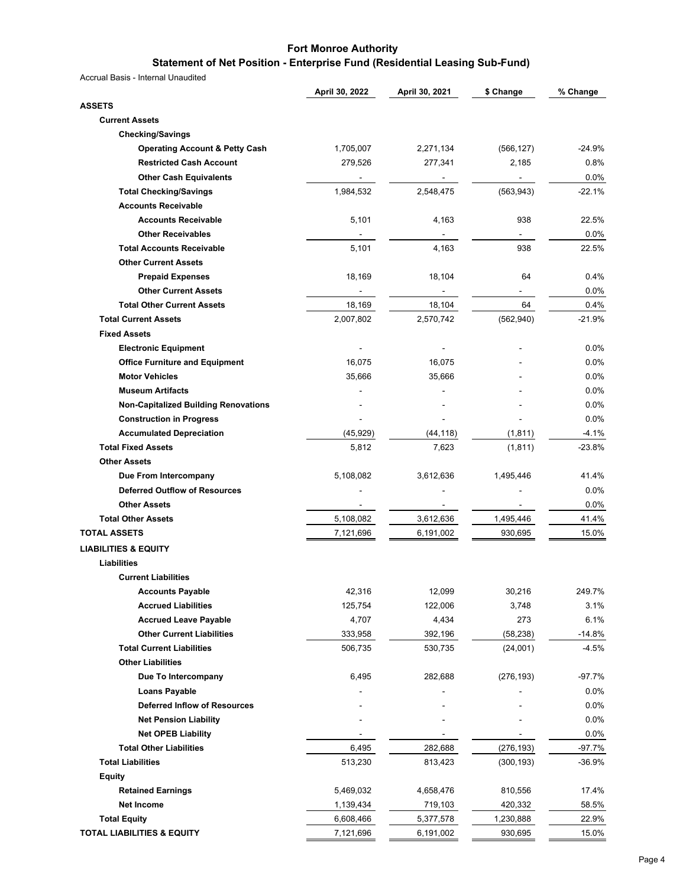# **Statement of Net Position - Enterprise Fund (Residential Leasing Sub-Fund)**

|                                             | April 30, 2022 | April 30, 2021 | \$ Change      | % Change |
|---------------------------------------------|----------------|----------------|----------------|----------|
| <b>ASSETS</b>                               |                |                |                |          |
| <b>Current Assets</b>                       |                |                |                |          |
| <b>Checking/Savings</b>                     |                |                |                |          |
| <b>Operating Account &amp; Petty Cash</b>   | 1,705,007      | 2,271,134      | (566, 127)     | $-24.9%$ |
| <b>Restricted Cash Account</b>              | 279,526        | 277,341        | 2,185          | 0.8%     |
| <b>Other Cash Equivalents</b>               |                |                | $\blacksquare$ | 0.0%     |
| <b>Total Checking/Savings</b>               | 1,984,532      | 2,548,475      | (563, 943)     | $-22.1%$ |
| <b>Accounts Receivable</b>                  |                |                |                |          |
| <b>Accounts Receivable</b>                  | 5,101          | 4,163          | 938            | 22.5%    |
| <b>Other Receivables</b>                    |                |                |                | 0.0%     |
| <b>Total Accounts Receivable</b>            | 5,101          | 4,163          | 938            | 22.5%    |
| <b>Other Current Assets</b>                 |                |                |                |          |
| <b>Prepaid Expenses</b>                     | 18,169         | 18,104         | 64             | 0.4%     |
| <b>Other Current Assets</b>                 |                | $\frac{1}{2}$  | $\blacksquare$ | 0.0%     |
| <b>Total Other Current Assets</b>           | 18,169         | 18,104         | 64             | 0.4%     |
| <b>Total Current Assets</b>                 | 2,007,802      | 2,570,742      | (562, 940)     | $-21.9%$ |
| <b>Fixed Assets</b>                         |                |                |                |          |
| <b>Electronic Equipment</b>                 |                |                |                | 0.0%     |
| <b>Office Furniture and Equipment</b>       | 16,075         | 16,075         |                | 0.0%     |
| <b>Motor Vehicles</b>                       | 35,666         | 35,666         |                | 0.0%     |
| <b>Museum Artifacts</b>                     |                |                |                | 0.0%     |
| <b>Non-Capitalized Building Renovations</b> |                |                |                | 0.0%     |
| <b>Construction in Progress</b>             |                |                |                | 0.0%     |
| <b>Accumulated Depreciation</b>             | (45, 929)      | (44, 118)      | (1, 811)       | $-4.1%$  |
| <b>Total Fixed Assets</b>                   | 5,812          | 7,623          | (1, 811)       | $-23.8%$ |
| <b>Other Assets</b>                         |                |                |                |          |
| Due From Intercompany                       | 5,108,082      | 3,612,636      | 1,495,446      | 41.4%    |
| <b>Deferred Outflow of Resources</b>        |                |                |                | 0.0%     |
| <b>Other Assets</b>                         |                |                |                | 0.0%     |
| <b>Total Other Assets</b>                   | 5,108,082      | 3,612,636      | 1,495,446      | 41.4%    |
| <b>TOTAL ASSETS</b>                         | 7,121,696      |                | 930,695        | 15.0%    |
|                                             |                | 6,191,002      |                |          |
| <b>LIABILITIES &amp; EQUITY</b>             |                |                |                |          |
| Liabilities                                 |                |                |                |          |
| <b>Current Liabilities</b>                  |                |                |                |          |
| <b>Accounts Payable</b>                     | 42,316         | 12,099         | 30,216         | 249.7%   |
| <b>Accrued Liabilities</b>                  | 125,754        | 122,006        | 3,748          | 3.1%     |
| <b>Accrued Leave Payable</b>                | 4,707          | 4,434          | 273            | 6.1%     |
| <b>Other Current Liabilities</b>            | 333,958        | 392,196        | (58, 238)      | $-14.8%$ |
| <b>Total Current Liabilities</b>            | 506,735        | 530,735        | (24,001)       | -4.5%    |
| <b>Other Liabilities</b>                    |                |                |                |          |
| Due To Intercompany                         | 6,495          | 282,688        | (276, 193)     | $-97.7%$ |
| <b>Loans Payable</b>                        |                |                |                | $0.0\%$  |
| <b>Deferred Inflow of Resources</b>         |                |                |                | $0.0\%$  |
| <b>Net Pension Liability</b>                |                |                |                | $0.0\%$  |
| <b>Net OPEB Liability</b>                   |                |                |                | $0.0\%$  |
| <b>Total Other Liabilities</b>              | 6,495          | 282,688        | (276, 193)     | $-97.7%$ |
| <b>Total Liabilities</b>                    | 513,230        | 813,423        | (300, 193)     | $-36.9%$ |
| <b>Equity</b>                               |                |                |                |          |
| <b>Retained Earnings</b>                    | 5,469,032      | 4,658,476      | 810,556        | 17.4%    |
| <b>Net Income</b>                           | 1,139,434      | 719,103        | 420,332        | 58.5%    |
| <b>Total Equity</b>                         | 6,608,466      | 5,377,578      | 1,230,888      | 22.9%    |
| <b>TOTAL LIABILITIES &amp; EQUITY</b>       | 7,121,696      | 6,191,002      | 930,695        | 15.0%    |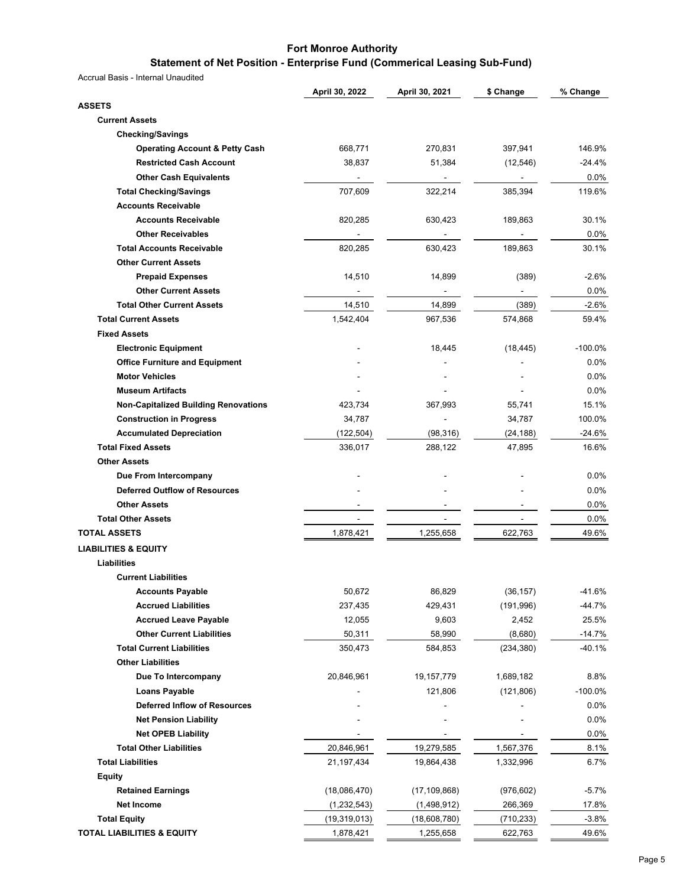# **Statement of Net Position - Enterprise Fund (Commerical Leasing Sub-Fund)**

|                                                              | April 30, 2022 | April 30, 2021 | \$ Change                | % Change  |
|--------------------------------------------------------------|----------------|----------------|--------------------------|-----------|
| <b>ASSETS</b>                                                |                |                |                          |           |
| <b>Current Assets</b>                                        |                |                |                          |           |
| <b>Checking/Savings</b>                                      |                |                |                          |           |
| <b>Operating Account &amp; Petty Cash</b>                    | 668,771        | 270,831        | 397,941                  | 146.9%    |
| <b>Restricted Cash Account</b>                               | 38,837         | 51,384         | (12, 546)                | $-24.4%$  |
| <b>Other Cash Equivalents</b>                                | $\blacksquare$ | $\blacksquare$ | $\blacksquare$           | 0.0%      |
| <b>Total Checking/Savings</b>                                | 707,609        | 322,214        | 385,394                  | 119.6%    |
| <b>Accounts Receivable</b>                                   |                |                |                          |           |
| <b>Accounts Receivable</b>                                   | 820,285        | 630,423        | 189,863                  | 30.1%     |
| <b>Other Receivables</b>                                     |                |                |                          | $0.0\%$   |
| <b>Total Accounts Receivable</b>                             | 820,285        | 630,423        | 189,863                  | 30.1%     |
| <b>Other Current Assets</b>                                  |                |                |                          |           |
| <b>Prepaid Expenses</b>                                      | 14,510         | 14,899         | (389)                    | $-2.6%$   |
| <b>Other Current Assets</b>                                  |                | $\blacksquare$ | $\sim 100$               | 0.0%      |
| <b>Total Other Current Assets</b>                            | 14,510         | 14,899         | (389)                    | $-2.6%$   |
| <b>Total Current Assets</b>                                  | 1,542,404      | 967,536        | 574,868                  | 59.4%     |
| <b>Fixed Assets</b>                                          |                |                |                          |           |
| <b>Electronic Equipment</b>                                  |                | 18,445         | (18, 445)                | $-100.0%$ |
| <b>Office Furniture and Equipment</b>                        |                |                |                          | 0.0%      |
| <b>Motor Vehicles</b>                                        |                |                |                          | 0.0%      |
| <b>Museum Artifacts</b>                                      |                |                |                          | 0.0%      |
| <b>Non-Capitalized Building Renovations</b>                  |                | 367,993        | 55,741                   | 15.1%     |
|                                                              | 423,734        |                |                          |           |
| <b>Construction in Progress</b>                              | 34,787         |                | 34,787                   | 100.0%    |
| <b>Accumulated Depreciation</b><br><b>Total Fixed Assets</b> | (122, 504)     | (98, 316)      | (24, 188)                | $-24.6%$  |
|                                                              | 336,017        | 288,122        | 47,895                   | 16.6%     |
| <b>Other Assets</b>                                          |                |                |                          |           |
| Due From Intercompany                                        |                |                |                          | 0.0%      |
| <b>Deferred Outflow of Resources</b>                         |                |                |                          | 0.0%      |
| <b>Other Assets</b>                                          |                |                |                          | 0.0%      |
| <b>Total Other Assets</b>                                    | $\overline{a}$ | $\overline{a}$ | $\overline{\phantom{a}}$ | 0.0%      |
| <b>TOTAL ASSETS</b>                                          | 1,878,421      | 1,255,658      | 622,763                  | 49.6%     |
| <b>LIABILITIES &amp; EQUITY</b>                              |                |                |                          |           |
| Liabilities                                                  |                |                |                          |           |
| <b>Current Liabilities</b>                                   |                |                |                          |           |
| <b>Accounts Payable</b>                                      | 50,672         | 86,829         | (36, 157)                | -41.6%    |
| <b>Accrued Liabilities</b>                                   | 237,435        | 429,431        | (191, 996)               | $-44.7%$  |
| <b>Accrued Leave Payable</b>                                 | 12,055         | 9,603          | 2,452                    | 25.5%     |
| <b>Other Current Liabilities</b>                             | 50,311         | 58,990         | (8,680)                  | $-14.7%$  |
| <b>Total Current Liabilities</b>                             | 350,473        | 584,853        | (234, 380)               | $-40.1%$  |
| <b>Other Liabilities</b>                                     |                |                |                          |           |
| Due To Intercompany                                          | 20,846,961     | 19, 157, 779   | 1,689,182                | 8.8%      |
| <b>Loans Payable</b>                                         |                | 121,806        | (121, 806)               | $-100.0%$ |
| <b>Deferred Inflow of Resources</b>                          |                |                |                          | $0.0\%$   |
| <b>Net Pension Liability</b>                                 |                |                |                          | 0.0%      |
| <b>Net OPEB Liability</b>                                    |                |                |                          | 0.0%      |
| <b>Total Other Liabilities</b>                               | 20,846,961     | 19,279,585     | 1,567,376                | 8.1%      |
| <b>Total Liabilities</b>                                     | 21, 197, 434   | 19,864,438     | 1,332,996                | 6.7%      |
| <b>Equity</b>                                                |                |                |                          |           |
| <b>Retained Earnings</b>                                     | (18,086,470)   | (17, 109, 868) | (976, 602)               | $-5.7\%$  |
| <b>Net Income</b>                                            | (1, 232, 543)  | (1,498,912)    | 266,369                  | 17.8%     |
| <b>Total Equity</b>                                          | (19,319,013)   | (18,608,780)   | (710, 233)               | $-3.8%$   |
| <b>TOTAL LIABILITIES &amp; EQUITY</b>                        | 1,878,421      | 1,255,658      | 622,763                  | 49.6%     |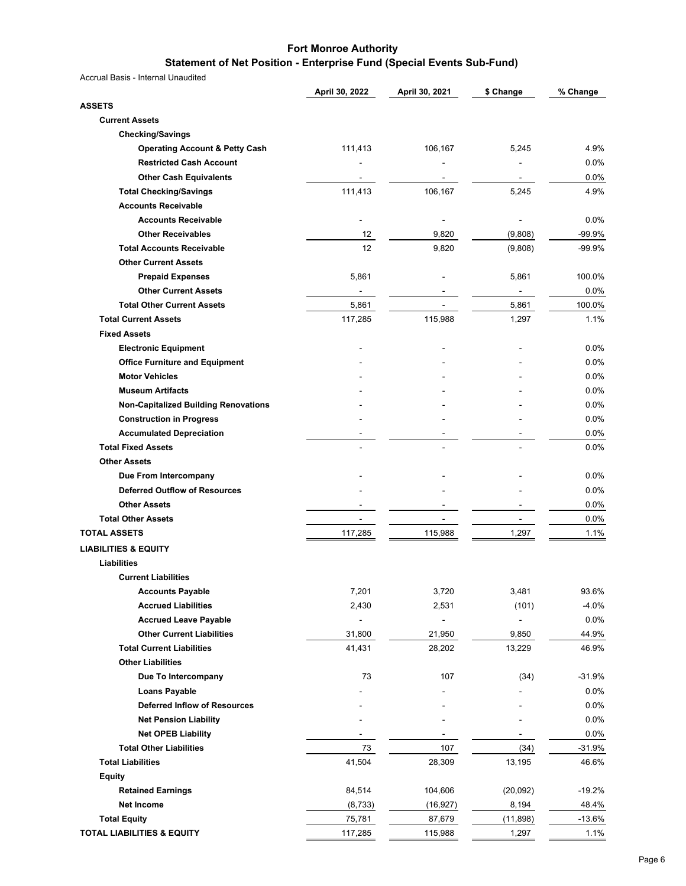#### **Statement of Net Position - Enterprise Fund (Special Events Sub-Fund)**

|                                             | April 30, 2022 | April 30, 2021 | \$ Change                | % Change     |
|---------------------------------------------|----------------|----------------|--------------------------|--------------|
| <b>ASSETS</b>                               |                |                |                          |              |
| <b>Current Assets</b>                       |                |                |                          |              |
| <b>Checking/Savings</b>                     |                |                |                          |              |
| <b>Operating Account &amp; Petty Cash</b>   | 111,413        | 106,167        | 5,245                    | 4.9%         |
| <b>Restricted Cash Account</b>              |                |                |                          | $0.0\%$      |
| <b>Other Cash Equivalents</b>               |                |                | ۰                        | 0.0%         |
| <b>Total Checking/Savings</b>               | 111,413        | 106,167        | 5,245                    | 4.9%         |
| <b>Accounts Receivable</b>                  |                |                |                          |              |
| <b>Accounts Receivable</b>                  |                |                |                          | $0.0\%$      |
| <b>Other Receivables</b>                    | 12             | 9,820          | (9,808)                  | -99.9%       |
| <b>Total Accounts Receivable</b>            | 12             | 9,820          | (9,808)                  | -99.9%       |
| <b>Other Current Assets</b>                 |                |                |                          |              |
| <b>Prepaid Expenses</b>                     | 5,861          |                | 5,861                    | 100.0%       |
| <b>Other Current Assets</b>                 |                |                |                          | $0.0\%$      |
| <b>Total Other Current Assets</b>           | 5,861          |                | 5,861                    | 100.0%       |
| <b>Total Current Assets</b>                 | 117,285        | 115,988        | 1,297                    | 1.1%         |
| <b>Fixed Assets</b>                         |                |                |                          |              |
| <b>Electronic Equipment</b>                 |                |                |                          | 0.0%         |
| <b>Office Furniture and Equipment</b>       |                |                |                          | 0.0%         |
| <b>Motor Vehicles</b>                       |                |                |                          | 0.0%         |
| <b>Museum Artifacts</b>                     |                |                |                          | 0.0%         |
| <b>Non-Capitalized Building Renovations</b> |                |                |                          | $0.0\%$      |
| <b>Construction in Progress</b>             |                |                |                          | 0.0%         |
| <b>Accumulated Depreciation</b>             |                |                |                          |              |
| <b>Total Fixed Assets</b>                   |                |                |                          | 0.0%<br>0.0% |
| <b>Other Assets</b>                         |                |                |                          |              |
|                                             |                |                |                          |              |
| Due From Intercompany                       |                |                |                          | $0.0\%$      |
| <b>Deferred Outflow of Resources</b>        |                |                |                          | 0.0%         |
| <b>Other Assets</b>                         |                |                |                          | 0.0%         |
| <b>Total Other Assets</b>                   |                | ۰              | $\overline{\phantom{a}}$ | 0.0%         |
| <b>TOTAL ASSETS</b>                         | 117,285        | 115,988        | 1,297                    | 1.1%         |
| <b>LIABILITIES &amp; EQUITY</b>             |                |                |                          |              |
| Liabilities                                 |                |                |                          |              |
| <b>Current Liabilities</b>                  |                |                |                          |              |
| <b>Accounts Payable</b>                     | 7,201          | 3,720          | 3,481                    | 93.6%        |
| <b>Accrued Liabilities</b>                  | 2,430          | 2,531          | (101)                    | $-4.0%$      |
| <b>Accrued Leave Payable</b>                |                |                | $\overline{a}$           | 0.0%         |
| <b>Other Current Liabilities</b>            | 31,800         | 21,950         | 9,850                    | 44.9%        |
| <b>Total Current Liabilities</b>            | 41,431         | 28,202         | 13,229                   | 46.9%        |
| <b>Other Liabilities</b>                    |                |                |                          |              |
| Due To Intercompany                         | 73             | 107            | (34)                     | $-31.9%$     |
| <b>Loans Payable</b>                        |                |                |                          | 0.0%         |
| <b>Deferred Inflow of Resources</b>         |                |                |                          | 0.0%         |
| <b>Net Pension Liability</b>                |                |                |                          | 0.0%         |
| <b>Net OPEB Liability</b>                   | $\sim$         | ۰              | ٠                        | $0.0\%$      |
| <b>Total Other Liabilities</b>              | 73             | 107            | (34)                     | $-31.9%$     |
| <b>Total Liabilities</b>                    | 41,504         | 28,309         | 13,195                   | 46.6%        |
| <b>Equity</b>                               |                |                |                          |              |
| <b>Retained Earnings</b>                    | 84,514         | 104,606        | (20,092)                 | $-19.2%$     |
| <b>Net Income</b>                           | (8, 733)       | (16, 927)      | 8,194                    | 48.4%        |
| <b>Total Equity</b>                         | 75,781         | 87,679         | (11, 898)                | $-13.6%$     |
| <b>TOTAL LIABILITIES &amp; EQUITY</b>       | 117,285        | 115,988        | 1,297                    | 1.1%         |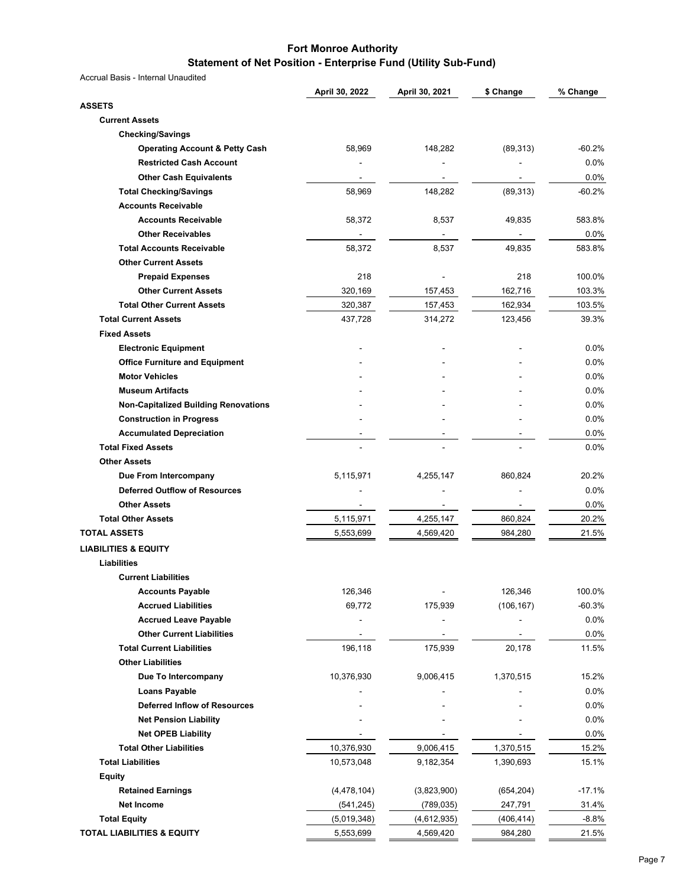#### **Fort Monroe Authority Statement of Net Position - Enterprise Fund (Utility Sub-Fund)**

|                                             | April 30, 2022         | April 30, 2021 | \$ Change  | % Change |
|---------------------------------------------|------------------------|----------------|------------|----------|
| <b>ASSETS</b>                               |                        |                |            |          |
| <b>Current Assets</b>                       |                        |                |            |          |
| <b>Checking/Savings</b>                     |                        |                |            |          |
| <b>Operating Account &amp; Petty Cash</b>   | 58,969                 | 148,282        | (89, 313)  | -60.2%   |
| <b>Restricted Cash Account</b>              |                        |                |            | 0.0%     |
| <b>Other Cash Equivalents</b>               |                        |                |            | 0.0%     |
| <b>Total Checking/Savings</b>               | 58,969                 | 148,282        | (89, 313)  | -60.2%   |
| <b>Accounts Receivable</b>                  |                        |                |            |          |
| <b>Accounts Receivable</b>                  | 58,372                 | 8,537          | 49,835     | 583.8%   |
| <b>Other Receivables</b>                    |                        |                |            | $0.0\%$  |
| <b>Total Accounts Receivable</b>            | 58,372                 | 8,537          | 49,835     | 583.8%   |
| <b>Other Current Assets</b>                 |                        |                |            |          |
| <b>Prepaid Expenses</b>                     | 218                    |                | 218        | 100.0%   |
| <b>Other Current Assets</b>                 | 320,169                | 157,453        | 162,716    | 103.3%   |
| <b>Total Other Current Assets</b>           | 320,387                | 157,453        | 162,934    | 103.5%   |
| <b>Total Current Assets</b>                 | 437,728                | 314,272        | 123,456    | 39.3%    |
| <b>Fixed Assets</b>                         |                        |                |            |          |
| <b>Electronic Equipment</b>                 |                        |                |            | $0.0\%$  |
| <b>Office Furniture and Equipment</b>       |                        |                |            | 0.0%     |
| <b>Motor Vehicles</b>                       |                        |                |            | 0.0%     |
| <b>Museum Artifacts</b>                     |                        |                |            | 0.0%     |
| <b>Non-Capitalized Building Renovations</b> |                        |                |            | 0.0%     |
| <b>Construction in Progress</b>             |                        |                |            | 0.0%     |
| <b>Accumulated Depreciation</b>             |                        |                |            | $0.0\%$  |
| <b>Total Fixed Assets</b>                   |                        |                |            | $0.0\%$  |
| <b>Other Assets</b>                         |                        |                |            |          |
| Due From Intercompany                       | 5,115,971              | 4,255,147      | 860,824    | 20.2%    |
| <b>Deferred Outflow of Resources</b>        |                        |                |            | $0.0\%$  |
| <b>Other Assets</b>                         |                        |                |            | 0.0%     |
| <b>Total Other Assets</b>                   |                        | 4,255,147      | 860,824    | 20.2%    |
| <b>TOTAL ASSETS</b>                         | 5,115,971<br>5,553,699 | 4,569,420      | 984,280    | 21.5%    |
|                                             |                        |                |            |          |
| <b>LIABILITIES &amp; EQUITY</b>             |                        |                |            |          |
| Liabilities                                 |                        |                |            |          |
| <b>Current Liabilities</b>                  |                        |                |            |          |
| <b>Accounts Payable</b>                     | 126,346                |                | 126,346    | 100.0%   |
| <b>Accrued Liabilities</b>                  | 69,772                 | 175,939        | (106, 167) | $-60.3%$ |
| <b>Accrued Leave Payable</b>                |                        |                |            | $0.0\%$  |
| <b>Other Current Liabilities</b>            |                        |                |            | $0.0\%$  |
| <b>Total Current Liabilities</b>            | 196,118                | 175,939        | 20,178     | 11.5%    |
| <b>Other Liabilities</b>                    |                        |                |            |          |
| Due To Intercompany                         | 10,376,930             | 9,006,415      | 1,370,515  | 15.2%    |
| <b>Loans Payable</b>                        |                        |                |            | $0.0\%$  |
| <b>Deferred Inflow of Resources</b>         |                        |                |            | 0.0%     |
| <b>Net Pension Liability</b>                |                        |                |            | $0.0\%$  |
| <b>Net OPEB Liability</b>                   |                        |                |            | 0.0%     |
| <b>Total Other Liabilities</b>              | 10,376,930             | 9,006,415      | 1,370,515  | 15.2%    |
| <b>Total Liabilities</b>                    | 10,573,048             | 9,182,354      | 1,390,693  | 15.1%    |
| <b>Equity</b>                               |                        |                |            |          |
| <b>Retained Earnings</b>                    | (4,478,104)            | (3,823,900)    | (654, 204) | $-17.1%$ |
| <b>Net Income</b>                           | (541, 245)             | (789, 035)     | 247,791    | 31.4%    |
| <b>Total Equity</b>                         | (5,019,348)            | (4,612,935)    | (406, 414) | $-8.8%$  |
| TOTAL LIABILITIES & EQUITY                  | 5,553,699              | 4,569,420      | 984,280    | 21.5%    |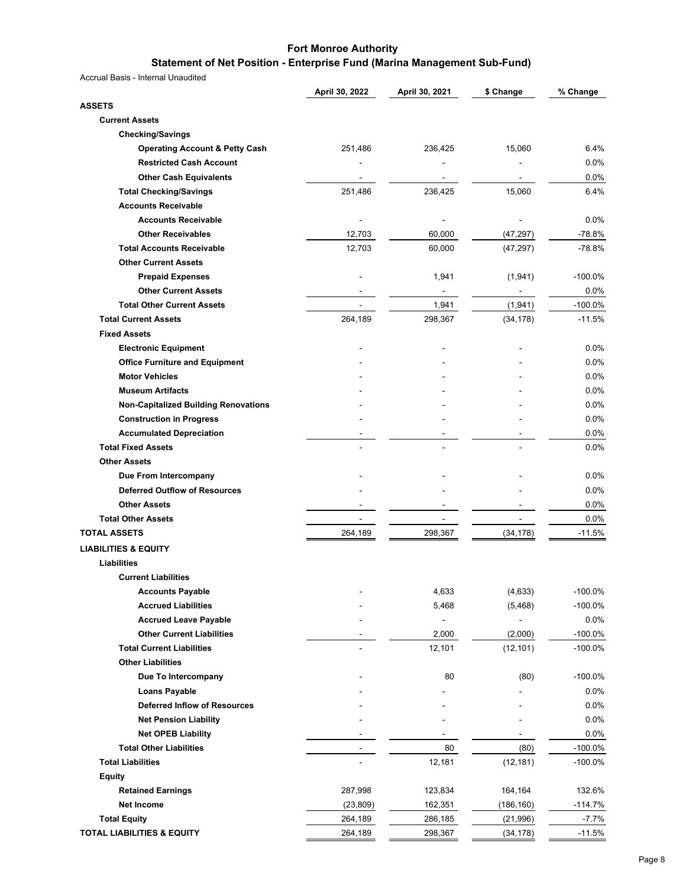# **Statement of Net Position - Enterprise Fund (Marina Management Sub-Fund)**

|                                                              | April 30, 2022 | April 30, 2021 | \$ Change      | % Change     |
|--------------------------------------------------------------|----------------|----------------|----------------|--------------|
| <b>ASSETS</b>                                                |                |                |                |              |
| <b>Current Assets</b>                                        |                |                |                |              |
| <b>Checking/Savings</b>                                      |                |                |                |              |
| <b>Operating Account &amp; Petty Cash</b>                    | 251,486        | 236,425        | 15,060         | 6.4%         |
| <b>Restricted Cash Account</b>                               |                |                |                | $0.0\%$      |
| <b>Other Cash Equivalents</b>                                |                | ۰              |                | 0.0%         |
| <b>Total Checking/Savings</b>                                | 251,486        | 236,425        | 15,060         | 6.4%         |
| <b>Accounts Receivable</b>                                   |                |                |                |              |
| <b>Accounts Receivable</b>                                   |                |                |                | $0.0\%$      |
| <b>Other Receivables</b>                                     | 12,703         | 60,000         | (47, 297)      | $-78.8%$     |
| <b>Total Accounts Receivable</b>                             | 12,703         | 60,000         | (47, 297)      | $-78.8%$     |
| <b>Other Current Assets</b>                                  |                |                |                |              |
| <b>Prepaid Expenses</b>                                      |                | 1,941          | (1,941)        | $-100.0%$    |
| <b>Other Current Assets</b>                                  |                | $\frac{1}{2}$  | ۰              | $0.0\%$      |
| <b>Total Other Current Assets</b>                            |                | 1,941          | (1,941)        | $-100.0%$    |
| <b>Total Current Assets</b>                                  | 264,189        | 298,367        | (34, 178)      | $-11.5%$     |
| <b>Fixed Assets</b>                                          |                |                |                |              |
| <b>Electronic Equipment</b>                                  |                |                |                | 0.0%         |
| <b>Office Furniture and Equipment</b>                        |                |                |                | 0.0%         |
| <b>Motor Vehicles</b>                                        |                |                |                | 0.0%         |
| <b>Museum Artifacts</b>                                      |                |                |                | 0.0%         |
| <b>Non-Capitalized Building Renovations</b>                  |                |                |                | $0.0\%$      |
| <b>Construction in Progress</b>                              |                |                |                | 0.0%         |
|                                                              |                |                |                |              |
| <b>Accumulated Depreciation</b><br><b>Total Fixed Assets</b> |                |                |                | 0.0%<br>0.0% |
|                                                              |                |                |                |              |
| <b>Other Assets</b>                                          |                |                |                |              |
| Due From Intercompany                                        |                |                |                | $0.0\%$      |
| <b>Deferred Outflow of Resources</b>                         |                |                |                | 0.0%         |
| <b>Other Assets</b>                                          |                |                |                | 0.0%         |
| <b>Total Other Assets</b>                                    | $\blacksquare$ | ۰              | $\blacksquare$ | 0.0%         |
| <b>TOTAL ASSETS</b>                                          | 264,189        | 298,367        | (34, 178)      | $-11.5%$     |
| <b>LIABILITIES &amp; EQUITY</b>                              |                |                |                |              |
| Liabilities                                                  |                |                |                |              |
| <b>Current Liabilities</b>                                   |                |                |                |              |
| <b>Accounts Payable</b>                                      |                | 4,633          | (4,633)        | $-100.0\%$   |
| <b>Accrued Liabilities</b>                                   |                | 5,468          | (5, 468)       | $-100.0%$    |
| <b>Accrued Leave Payable</b>                                 |                |                |                | $0.0\%$      |
| <b>Other Current Liabilities</b>                             |                | 2,000          | (2,000)        | $-100.0\%$   |
| <b>Total Current Liabilities</b>                             |                | 12,101         | (12, 101)      | $-100.0%$    |
| <b>Other Liabilities</b>                                     |                |                |                |              |
| Due To Intercompany                                          |                | 80             | (80)           | $-100.0\%$   |
| <b>Loans Payable</b>                                         |                |                |                | $0.0\%$      |
| <b>Deferred Inflow of Resources</b>                          |                |                |                | 0.0%         |
| <b>Net Pension Liability</b>                                 |                |                |                | 0.0%         |
| <b>Net OPEB Liability</b>                                    |                |                | $\blacksquare$ | 0.0%         |
| <b>Total Other Liabilities</b>                               | $\overline{a}$ | 80             | (80)           | $-100.0%$    |
| <b>Total Liabilities</b>                                     |                | 12,181         | (12, 181)      | $-100.0\%$   |
| <b>Equity</b>                                                |                |                |                |              |
| <b>Retained Earnings</b>                                     | 287,998        | 123,834        | 164,164        | 132.6%       |
| <b>Net Income</b>                                            | (23, 809)      | 162,351        | (186, 160)     | $-114.7%$    |
| <b>Total Equity</b>                                          | 264,189        | 286,185        | (21, 996)      | $-7.7\%$     |
| <b>TOTAL LIABILITIES &amp; EQUITY</b>                        | 264,189        | 298,367        | (34, 178)      | $-11.5%$     |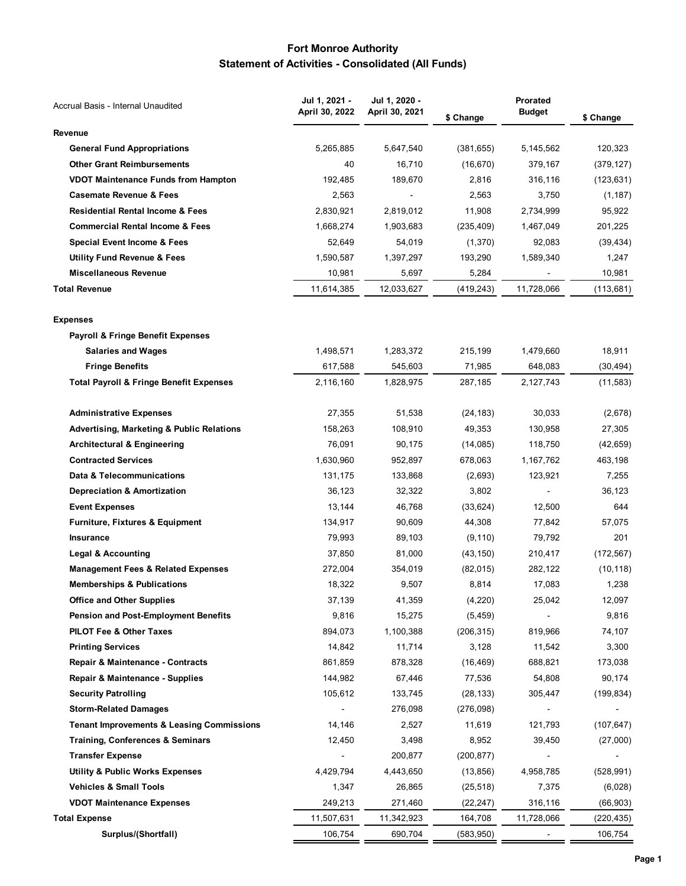# **Fort Monroe Authority Statement of Activities - Consolidated (All Funds)**

| Accrual Basis - Internal Unaudited                   | Jul 1, 2021 -  | Jul 1, 2020 -            | Prorated   |               |            |  |
|------------------------------------------------------|----------------|--------------------------|------------|---------------|------------|--|
|                                                      | April 30, 2022 | April 30, 2021           | \$ Change  | <b>Budget</b> | \$ Change  |  |
| Revenue                                              |                |                          |            |               |            |  |
| <b>General Fund Appropriations</b>                   | 5,265,885      | 5,647,540                | (381, 655) | 5,145,562     | 120,323    |  |
| <b>Other Grant Reimbursements</b>                    | 40             | 16,710                   | (16, 670)  | 379,167       | (379, 127) |  |
| <b>VDOT Maintenance Funds from Hampton</b>           | 192,485        | 189,670                  | 2,816      | 316,116       | (123, 631) |  |
| <b>Casemate Revenue &amp; Fees</b>                   | 2,563          | $\overline{\phantom{a}}$ | 2,563      | 3,750         | (1, 187)   |  |
| <b>Residential Rental Income &amp; Fees</b>          | 2,830,921      | 2,819,012                | 11,908     | 2,734,999     | 95,922     |  |
| <b>Commercial Rental Income &amp; Fees</b>           | 1,668,274      | 1,903,683                | (235, 409) | 1,467,049     | 201,225    |  |
| Special Event Income & Fees                          | 52,649         | 54,019                   | (1,370)    | 92,083        | (39, 434)  |  |
| <b>Utility Fund Revenue &amp; Fees</b>               | 1,590,587      | 1,397,297                | 193,290    | 1,589,340     | 1,247      |  |
| <b>Miscellaneous Revenue</b>                         | 10,981         | 5,697                    | 5,284      |               | 10,981     |  |
| <b>Total Revenue</b>                                 | 11,614,385     | 12,033,627               | (419, 243) | 11,728,066    | (113, 681) |  |
| <b>Expenses</b>                                      |                |                          |            |               |            |  |
| <b>Payroll &amp; Fringe Benefit Expenses</b>         |                |                          |            |               |            |  |
| <b>Salaries and Wages</b>                            | 1,498,571      | 1,283,372                | 215,199    | 1,479,660     | 18,911     |  |
| <b>Fringe Benefits</b>                               | 617,588        | 545,603                  | 71,985     | 648,083       | (30, 494)  |  |
| <b>Total Payroll &amp; Fringe Benefit Expenses</b>   | 2,116,160      | 1,828,975                | 287,185    | 2,127,743     | (11, 583)  |  |
| <b>Administrative Expenses</b>                       | 27,355         | 51,538                   | (24, 183)  | 30,033        | (2,678)    |  |
| <b>Advertising, Marketing &amp; Public Relations</b> | 158,263        | 108,910                  | 49,353     | 130,958       | 27,305     |  |
| <b>Architectural &amp; Engineering</b>               | 76,091         | 90,175                   | (14,085)   | 118,750       | (42, 659)  |  |
| <b>Contracted Services</b>                           | 1,630,960      | 952,897                  | 678,063    | 1,167,762     | 463,198    |  |
| Data & Telecommunications                            | 131,175        | 133,868                  | (2,693)    | 123,921       | 7,255      |  |
| <b>Depreciation &amp; Amortization</b>               | 36,123         | 32,322                   | 3,802      |               | 36,123     |  |
| <b>Event Expenses</b>                                | 13,144         | 46,768                   | (33, 624)  | 12,500        | 644        |  |
| <b>Furniture, Fixtures &amp; Equipment</b>           | 134,917        | 90,609                   | 44,308     | 77,842        | 57,075     |  |
| <b>Insurance</b>                                     | 79,993         | 89,103                   | (9, 110)   | 79,792        | 201        |  |
| <b>Legal &amp; Accounting</b>                        | 37,850         | 81,000                   | (43, 150)  | 210,417       | (172, 567) |  |
| <b>Management Fees &amp; Related Expenses</b>        | 272,004        | 354,019                  | (82, 015)  | 282,122       | (10, 118)  |  |
| <b>Memberships &amp; Publications</b>                | 18,322         | 9,507                    | 8,814      | 17,083        | 1,238      |  |
| <b>Office and Other Supplies</b>                     | 37,139         | 41,359                   | (4,220)    | 25,042        | 12,097     |  |
| <b>Pension and Post-Employment Benefits</b>          | 9,816          | 15,275                   | (5, 459)   |               | 9,816      |  |
| PILOT Fee & Other Taxes                              | 894,073        | 1,100,388                | (206, 315) | 819,966       | 74,107     |  |
| <b>Printing Services</b>                             | 14,842         | 11,714                   | 3,128      | 11,542        | 3,300      |  |
| Repair & Maintenance - Contracts                     | 861,859        | 878,328                  | (16, 469)  | 688,821       | 173,038    |  |
| Repair & Maintenance - Supplies                      | 144,982        | 67,446                   | 77,536     | 54,808        | 90,174     |  |
| <b>Security Patrolling</b>                           | 105,612        | 133,745                  | (28, 133)  | 305,447       | (199, 834) |  |
| <b>Storm-Related Damages</b>                         |                | 276,098                  | (276,098)  |               |            |  |
| <b>Tenant Improvements &amp; Leasing Commissions</b> | 14,146         | 2,527                    | 11,619     | 121,793       | (107, 647) |  |
| <b>Training, Conferences &amp; Seminars</b>          | 12,450         | 3,498                    | 8,952      | 39,450        | (27,000)   |  |
| <b>Transfer Expense</b>                              |                | 200,877                  | (200, 877) |               |            |  |
| <b>Utility &amp; Public Works Expenses</b>           | 4,429,794      | 4,443,650                | (13, 856)  | 4,958,785     | (528, 991) |  |
| <b>Vehicles &amp; Small Tools</b>                    | 1,347          | 26,865                   | (25, 518)  | 7,375         | (6,028)    |  |
| <b>VDOT Maintenance Expenses</b>                     | 249,213        | 271,460                  | (22, 247)  | 316,116       | (66, 903)  |  |
| <b>Total Expense</b>                                 | 11,507,631     | 11,342,923               | 164,708    | 11,728,066    | (220, 435) |  |
| Surplus/(Shortfall)                                  | 106,754        | 690,704                  | (583, 950) |               | 106,754    |  |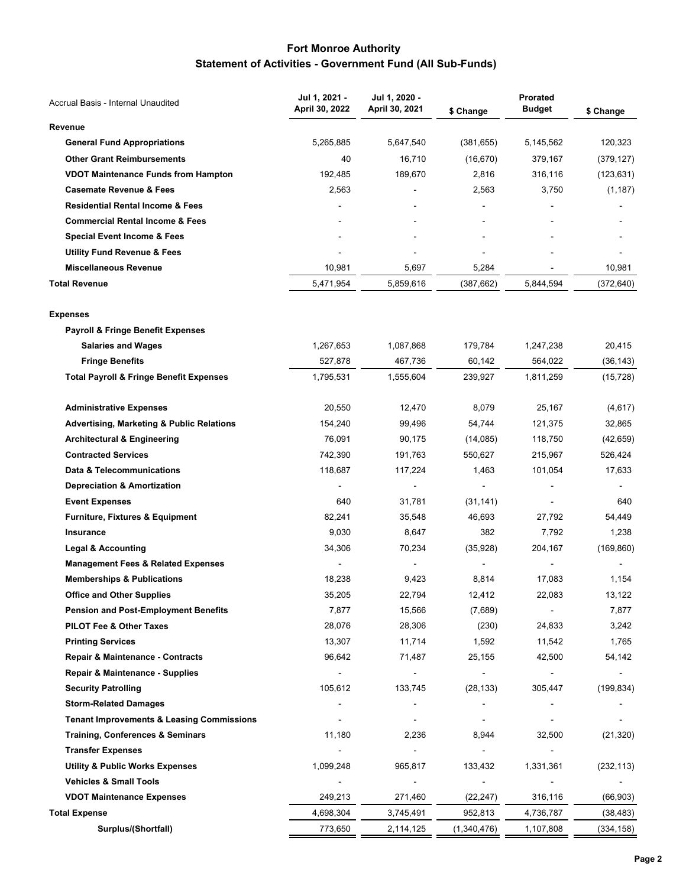## **Fort Monroe Authority Statement of Activities - Government Fund (All Sub-Funds)**

| Accrual Basis - Internal Unaudited                   | Jul 1, 2021 -<br>April 30, 2022 | Jul 1, 2020 -<br>April 30, 2021 | \$ Change                | <b>Prorated</b><br><b>Budget</b> | \$ Change  |
|------------------------------------------------------|---------------------------------|---------------------------------|--------------------------|----------------------------------|------------|
| Revenue                                              |                                 |                                 |                          |                                  |            |
| <b>General Fund Appropriations</b>                   | 5,265,885                       | 5,647,540                       | (381, 655)               | 5,145,562                        | 120,323    |
| <b>Other Grant Reimbursements</b>                    | 40                              | 16,710                          | (16, 670)                | 379,167                          | (379, 127) |
| <b>VDOT Maintenance Funds from Hampton</b>           | 192,485                         | 189,670                         | 2,816                    | 316,116                          | (123, 631) |
| <b>Casemate Revenue &amp; Fees</b>                   | 2,563                           |                                 | 2,563                    | 3,750                            | (1, 187)   |
| <b>Residential Rental Income &amp; Fees</b>          |                                 |                                 |                          |                                  |            |
| <b>Commercial Rental Income &amp; Fees</b>           |                                 |                                 |                          |                                  |            |
| <b>Special Event Income &amp; Fees</b>               |                                 |                                 |                          |                                  |            |
| <b>Utility Fund Revenue &amp; Fees</b>               |                                 |                                 |                          |                                  |            |
| <b>Miscellaneous Revenue</b>                         | 10,981                          | 5,697                           | 5,284                    |                                  | 10,981     |
| <b>Total Revenue</b>                                 | 5,471,954                       | 5,859,616                       | (387, 662)               | 5,844,594                        | (372, 640) |
| <b>Expenses</b>                                      |                                 |                                 |                          |                                  |            |
| <b>Payroll &amp; Fringe Benefit Expenses</b>         |                                 |                                 |                          |                                  |            |
| <b>Salaries and Wages</b>                            | 1,267,653                       | 1,087,868                       | 179,784                  | 1,247,238                        | 20,415     |
| <b>Fringe Benefits</b>                               | 527,878                         | 467,736                         | 60,142                   | 564,022                          | (36, 143)  |
| <b>Total Payroll &amp; Fringe Benefit Expenses</b>   | 1,795,531                       | 1,555,604                       | 239,927                  | 1,811,259                        | (15, 728)  |
| <b>Administrative Expenses</b>                       | 20,550                          | 12,470                          | 8,079                    | 25,167                           | (4,617)    |
| <b>Advertising, Marketing &amp; Public Relations</b> | 154,240                         | 99,496                          | 54,744                   | 121,375                          | 32,865     |
| <b>Architectural &amp; Engineering</b>               | 76,091                          | 90,175                          | (14,085)                 | 118,750                          | (42, 659)  |
| <b>Contracted Services</b>                           | 742,390                         | 191,763                         | 550,627                  | 215,967                          | 526,424    |
| Data & Telecommunications                            | 118,687                         | 117,224                         | 1,463                    | 101,054                          | 17,633     |
| <b>Depreciation &amp; Amortization</b>               |                                 | $\overline{\phantom{0}}$        |                          |                                  |            |
| <b>Event Expenses</b>                                | 640                             | 31,781                          | (31, 141)                |                                  | 640        |
| <b>Furniture, Fixtures &amp; Equipment</b>           | 82,241                          | 35,548                          | 46,693                   | 27,792                           | 54,449     |
| Insurance                                            | 9,030                           | 8,647                           | 382                      | 7,792                            | 1,238      |
| <b>Legal &amp; Accounting</b>                        | 34,306                          | 70,234                          | (35,928)                 | 204,167                          | (169, 860) |
| <b>Management Fees &amp; Related Expenses</b>        |                                 |                                 |                          |                                  |            |
| <b>Memberships &amp; Publications</b>                | 18,238                          | 9,423                           | 8,814                    | 17,083                           | 1,154      |
| <b>Office and Other Supplies</b>                     | 35,205                          | 22,794                          | 12,412                   | 22,083                           | 13,122     |
| <b>Pension and Post-Employment Benefits</b>          | 7,877                           | 15,566                          | (7,689)                  |                                  | 7,877      |
| PILOT Fee & Other Taxes                              | 28,076                          | 28,306                          | (230)                    | 24,833                           | 3,242      |
| <b>Printing Services</b>                             | 13,307                          | 11,714                          | 1,592                    | 11,542                           | 1,765      |
| Repair & Maintenance - Contracts                     | 96,642                          | 71,487                          | 25,155                   | 42,500                           | 54,142     |
| Repair & Maintenance - Supplies                      | $\blacksquare$                  |                                 | $\overline{\phantom{a}}$ |                                  |            |
| <b>Security Patrolling</b>                           | 105,612                         | 133,745                         | (28, 133)                | 305,447                          | (199, 834) |
| <b>Storm-Related Damages</b>                         |                                 |                                 |                          |                                  |            |
| <b>Tenant Improvements &amp; Leasing Commissions</b> |                                 |                                 | $\overline{a}$           |                                  |            |
| <b>Training, Conferences &amp; Seminars</b>          | 11,180                          | 2,236                           | 8,944                    | 32,500                           | (21, 320)  |
| <b>Transfer Expenses</b>                             |                                 | $\overline{\phantom{a}}$        |                          |                                  |            |
| <b>Utility &amp; Public Works Expenses</b>           | 1,099,248                       | 965,817                         | 133,432                  | 1,331,361                        | (232, 113) |
| <b>Vehicles &amp; Small Tools</b>                    |                                 |                                 |                          |                                  |            |
| <b>VDOT Maintenance Expenses</b>                     | 249,213                         | 271,460                         | (22, 247)                | 316,116                          | (66, 903)  |
| <b>Total Expense</b>                                 | 4,698,304                       | 3,745,491                       | 952,813                  | 4,736,787                        | (38, 483)  |
| Surplus/(Shortfall)                                  | 773,650                         | 2,114,125                       | (1,340,476)              | 1,107,808                        | (334, 158) |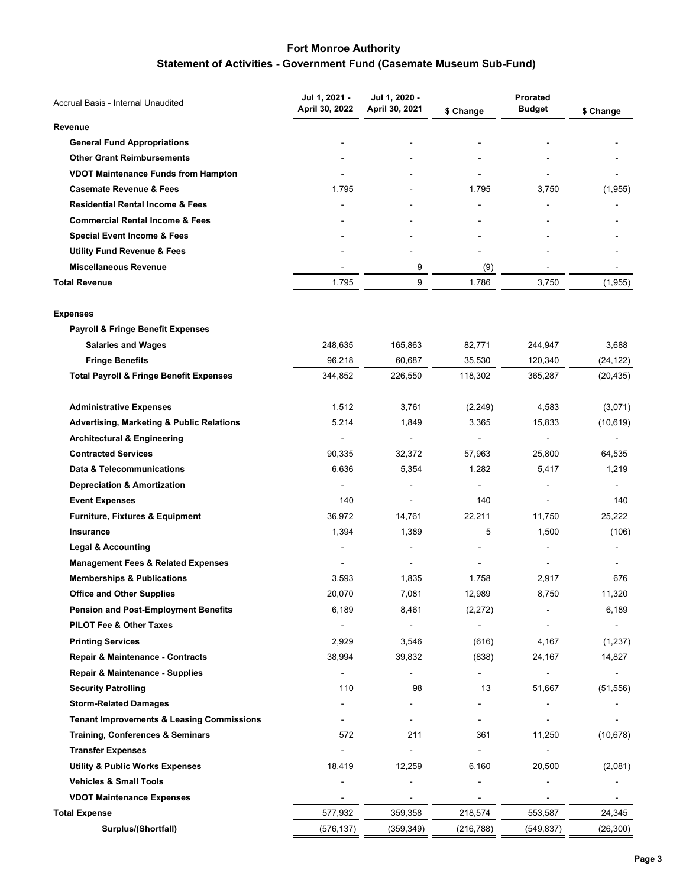# **Statement of Activities - Government Fund (Casemate Museum Sub-Fund)**

| Accrual Basis - Internal Unaudited                   | Jul 1, 2021 -  | Jul 1, 2020 -  | <b>Prorated</b>          |               |           |
|------------------------------------------------------|----------------|----------------|--------------------------|---------------|-----------|
|                                                      | April 30, 2022 | April 30, 2021 | \$ Change                | <b>Budget</b> | \$ Change |
| Revenue                                              |                |                |                          |               |           |
| <b>General Fund Appropriations</b>                   |                |                |                          |               |           |
| <b>Other Grant Reimbursements</b>                    |                |                |                          |               |           |
| <b>VDOT Maintenance Funds from Hampton</b>           |                |                |                          |               |           |
| <b>Casemate Revenue &amp; Fees</b>                   | 1,795          |                | 1,795                    | 3,750         | (1,955)   |
| <b>Residential Rental Income &amp; Fees</b>          |                |                |                          |               |           |
| <b>Commercial Rental Income &amp; Fees</b>           |                |                |                          |               |           |
| <b>Special Event Income &amp; Fees</b>               |                |                |                          |               |           |
| <b>Utility Fund Revenue &amp; Fees</b>               |                |                |                          |               |           |
| <b>Miscellaneous Revenue</b>                         |                | 9              | (9)                      |               |           |
| <b>Total Revenue</b>                                 | 1,795          | 9              | 1,786                    | 3,750         | (1,955)   |
| <b>Expenses</b>                                      |                |                |                          |               |           |
| <b>Payroll &amp; Fringe Benefit Expenses</b>         |                |                |                          |               |           |
| <b>Salaries and Wages</b>                            | 248,635        | 165,863        | 82,771                   | 244,947       | 3,688     |
| <b>Fringe Benefits</b>                               | 96,218         | 60,687         | 35,530                   | 120,340       | (24, 122) |
| <b>Total Payroll &amp; Fringe Benefit Expenses</b>   | 344,852        | 226,550        | 118,302                  | 365,287       | (20, 435) |
| <b>Administrative Expenses</b>                       | 1,512          | 3,761          | (2, 249)                 | 4,583         | (3,071)   |
| <b>Advertising, Marketing &amp; Public Relations</b> | 5,214          | 1,849          | 3,365                    | 15,833        | (10, 619) |
| <b>Architectural &amp; Engineering</b>               |                |                |                          |               |           |
| <b>Contracted Services</b>                           | 90,335         | 32,372         | 57,963                   | 25,800        | 64,535    |
| Data & Telecommunications                            | 6,636          | 5,354          | 1,282                    | 5,417         | 1,219     |
| <b>Depreciation &amp; Amortization</b>               |                |                |                          |               |           |
| <b>Event Expenses</b>                                | 140            |                | 140                      |               | 140       |
| <b>Furniture, Fixtures &amp; Equipment</b>           | 36,972         | 14,761         | 22,211                   | 11,750        | 25,222    |
| <b>Insurance</b>                                     | 1,394          | 1,389          | 5                        | 1,500         | (106)     |
| <b>Legal &amp; Accounting</b>                        |                |                |                          |               |           |
| <b>Management Fees &amp; Related Expenses</b>        |                |                |                          |               |           |
| <b>Memberships &amp; Publications</b>                | 3,593          | 1,835          | 1,758                    | 2,917         | 676       |
| <b>Office and Other Supplies</b>                     | 20,070         | 7,081          | 12,989                   | 8,750         | 11,320    |
| <b>Pension and Post-Employment Benefits</b>          | 6,189          | 8,461          | (2,272)                  |               | 6,189     |
| PILOT Fee & Other Taxes                              |                |                | $\overline{\phantom{a}}$ |               |           |
| <b>Printing Services</b>                             | 2,929          | 3,546          | (616)                    | 4,167         | (1,237)   |
| Repair & Maintenance - Contracts                     | 38,994         | 39,832         | (838)                    | 24,167        | 14,827    |
| Repair & Maintenance - Supplies                      |                |                |                          |               |           |
| <b>Security Patrolling</b>                           | 110            | 98             | 13                       | 51,667        | (51, 556) |
| <b>Storm-Related Damages</b>                         |                |                |                          |               |           |
| <b>Tenant Improvements &amp; Leasing Commissions</b> |                |                | $\overline{\phantom{a}}$ |               |           |
| <b>Training, Conferences &amp; Seminars</b>          | 572            | 211            | 361                      | 11,250        | (10, 678) |
| <b>Transfer Expenses</b>                             |                |                |                          |               |           |
| <b>Utility &amp; Public Works Expenses</b>           | 18,419         | 12,259         | 6,160                    | 20,500        | (2,081)   |
| <b>Vehicles &amp; Small Tools</b>                    |                |                |                          |               |           |
| <b>VDOT Maintenance Expenses</b>                     |                |                |                          |               |           |
| <b>Total Expense</b>                                 | 577,932        | 359,358        | 218,574                  | 553,587       | 24,345    |
| Surplus/(Shortfall)                                  | (576, 137)     | (359, 349)     | (216, 788)               | (549, 837)    | (26, 300) |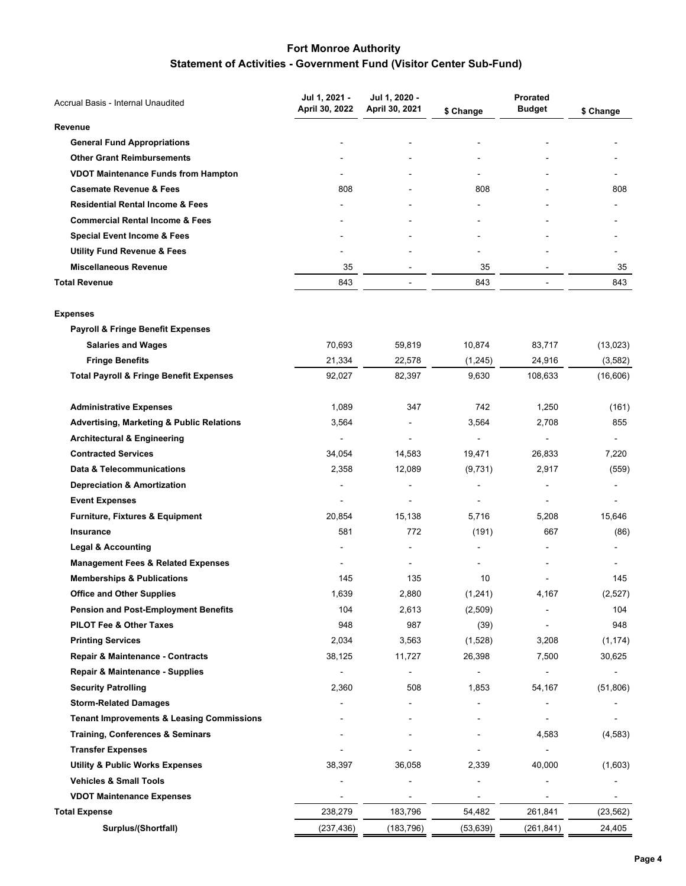# **Fort Monroe Authority Statement of Activities - Government Fund (Visitor Center Sub-Fund)**

| Accrual Basis - Internal Unaudited                   | Jul 1, 2021 -  | Jul 1, 2020 -  |                | Prorated       |           |
|------------------------------------------------------|----------------|----------------|----------------|----------------|-----------|
|                                                      | April 30, 2022 | April 30, 2021 | \$ Change      | <b>Budget</b>  | \$ Change |
| Revenue                                              |                |                |                |                |           |
| <b>General Fund Appropriations</b>                   |                |                |                |                |           |
| <b>Other Grant Reimbursements</b>                    |                |                |                |                |           |
| <b>VDOT Maintenance Funds from Hampton</b>           |                |                |                |                |           |
| <b>Casemate Revenue &amp; Fees</b>                   | 808            |                | 808            |                | 808       |
| <b>Residential Rental Income &amp; Fees</b>          |                |                |                |                |           |
| <b>Commercial Rental Income &amp; Fees</b>           |                |                |                |                |           |
| <b>Special Event Income &amp; Fees</b>               |                |                |                |                |           |
| <b>Utility Fund Revenue &amp; Fees</b>               |                |                |                |                |           |
| <b>Miscellaneous Revenue</b>                         | 35             |                | 35             |                | 35        |
| <b>Total Revenue</b>                                 | 843            | $\blacksquare$ | 843            | $\overline{a}$ | 843       |
| <b>Expenses</b>                                      |                |                |                |                |           |
| <b>Payroll &amp; Fringe Benefit Expenses</b>         |                |                |                |                |           |
| <b>Salaries and Wages</b>                            | 70,693         | 59,819         | 10,874         | 83,717         | (13,023)  |
| <b>Fringe Benefits</b>                               | 21,334         | 22,578         | (1,245)        | 24,916         | (3, 582)  |
| <b>Total Payroll &amp; Fringe Benefit Expenses</b>   | 92,027         | 82,397         | 9,630          | 108,633        | (16,606)  |
| <b>Administrative Expenses</b>                       | 1,089          | 347            | 742            | 1,250          | (161)     |
| <b>Advertising, Marketing &amp; Public Relations</b> | 3,564          |                | 3,564          | 2,708          | 855       |
| <b>Architectural &amp; Engineering</b>               | $\overline{a}$ |                | $\blacksquare$ |                |           |
| <b>Contracted Services</b>                           | 34,054         | 14,583         | 19,471         | 26,833         | 7,220     |
| Data & Telecommunications                            | 2,358          | 12,089         | (9,731)        | 2,917          | (559)     |
| <b>Depreciation &amp; Amortization</b>               | $\overline{a}$ |                |                |                |           |
| <b>Event Expenses</b>                                |                |                |                |                |           |
| Furniture, Fixtures & Equipment                      | 20,854         | 15,138         | 5,716          | 5,208          | 15,646    |
| Insurance                                            | 581            | 772            | (191)          | 667            | (86)      |
| <b>Legal &amp; Accounting</b>                        |                |                |                |                |           |
| <b>Management Fees &amp; Related Expenses</b>        |                |                |                |                |           |
| <b>Memberships &amp; Publications</b>                | 145            | 135            | 10             |                | 145       |
| <b>Office and Other Supplies</b>                     | 1,639          | 2,880          | (1, 241)       | 4,167          | (2,527)   |
| <b>Pension and Post-Employment Benefits</b>          | 104            | 2,613          | (2,509)        |                | 104       |
| PILOT Fee & Other Taxes                              | 948            | 987            | (39)           |                | 948       |
| <b>Printing Services</b>                             | 2,034          | 3,563          | (1,528)        | 3,208          | (1, 174)  |
| Repair & Maintenance - Contracts                     | 38,125         | 11,727         | 26,398         | 7,500          | 30,625    |
| Repair & Maintenance - Supplies                      |                |                |                |                |           |
| <b>Security Patrolling</b>                           | 2,360          | 508            | 1,853          | 54,167         | (51,806)  |
| <b>Storm-Related Damages</b>                         |                |                |                |                |           |
| <b>Tenant Improvements &amp; Leasing Commissions</b> |                |                |                |                |           |
| <b>Training, Conferences &amp; Seminars</b>          |                |                |                | 4,583          | (4, 583)  |
| <b>Transfer Expenses</b>                             |                |                |                |                |           |
| <b>Utility &amp; Public Works Expenses</b>           | 38,397         | 36,058         | 2,339          | 40,000         | (1,603)   |
| <b>Vehicles &amp; Small Tools</b>                    |                |                |                |                |           |
| <b>VDOT Maintenance Expenses</b>                     |                |                |                |                |           |
| <b>Total Expense</b>                                 | 238,279        | 183,796        | 54,482         | 261,841        | (23, 562) |
| Surplus/(Shortfall)                                  | (237, 436)     | (183, 796)     | (53, 639)      | (261, 841)     | 24,405    |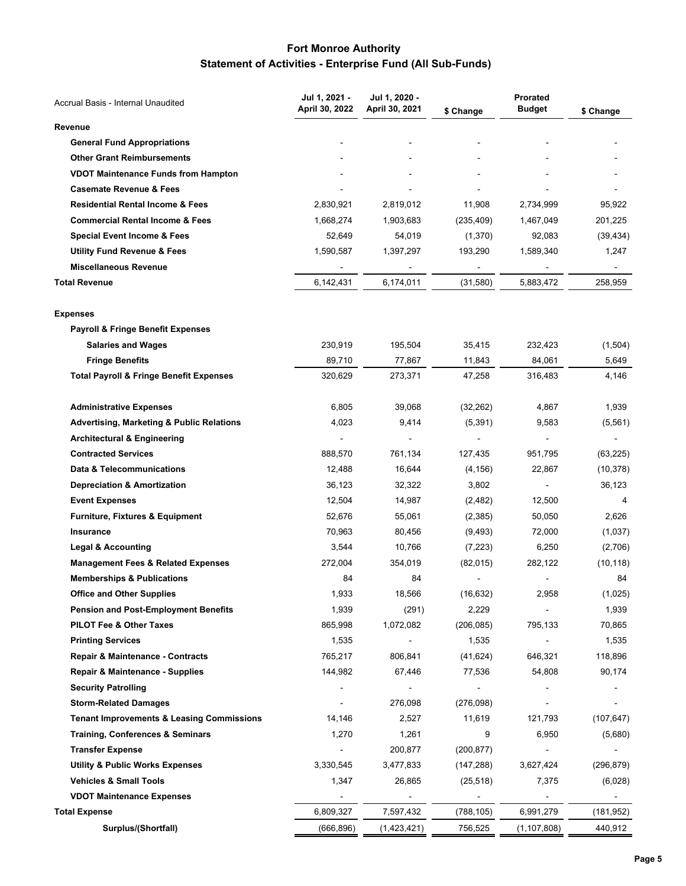# **Fort Monroe Authority Statement of Activities - Enterprise Fund (All Sub-Funds)**

| Accrual Basis - Internal Unaudited                   | Jul 1, 2021 -  | Jul 1, 2020 -  |            | <b>Prorated</b> |            |
|------------------------------------------------------|----------------|----------------|------------|-----------------|------------|
|                                                      | April 30, 2022 | April 30, 2021 | \$ Change  | <b>Budget</b>   | \$ Change  |
| Revenue                                              |                |                |            |                 |            |
| <b>General Fund Appropriations</b>                   |                |                |            |                 |            |
| <b>Other Grant Reimbursements</b>                    |                |                |            |                 |            |
| <b>VDOT Maintenance Funds from Hampton</b>           |                |                |            |                 |            |
| <b>Casemate Revenue &amp; Fees</b>                   |                |                |            |                 |            |
| <b>Residential Rental Income &amp; Fees</b>          | 2,830,921      | 2,819,012      | 11,908     | 2,734,999       | 95,922     |
| <b>Commercial Rental Income &amp; Fees</b>           | 1,668,274      | 1,903,683      | (235, 409) | 1,467,049       | 201,225    |
| <b>Special Event Income &amp; Fees</b>               | 52,649         | 54,019         | (1,370)    | 92,083          | (39, 434)  |
| <b>Utility Fund Revenue &amp; Fees</b>               | 1,590,587      | 1,397,297      | 193,290    | 1,589,340       | 1,247      |
| <b>Miscellaneous Revenue</b>                         |                |                |            |                 |            |
| <b>Total Revenue</b>                                 | 6,142,431      | 6,174,011      | (31,580)   | 5,883,472       | 258,959    |
| <b>Expenses</b>                                      |                |                |            |                 |            |
| <b>Payroll &amp; Fringe Benefit Expenses</b>         |                |                |            |                 |            |
| <b>Salaries and Wages</b>                            | 230,919        | 195,504        | 35,415     | 232,423         | (1,504)    |
| <b>Fringe Benefits</b>                               | 89,710         | 77,867         | 11,843     | 84,061          | 5,649      |
| <b>Total Payroll &amp; Fringe Benefit Expenses</b>   | 320,629        | 273,371        | 47,258     | 316,483         | 4,146      |
| <b>Administrative Expenses</b>                       | 6,805          | 39,068         | (32, 262)  | 4,867           | 1,939      |
| <b>Advertising, Marketing &amp; Public Relations</b> | 4,023          | 9,414          | (5, 391)   | 9,583           | (5, 561)   |
| <b>Architectural &amp; Engineering</b>               | $\overline{a}$ |                |            |                 |            |
| <b>Contracted Services</b>                           | 888,570        | 761,134        | 127,435    | 951,795         | (63, 225)  |
| Data & Telecommunications                            | 12,488         | 16,644         | (4, 156)   | 22,867          | (10, 378)  |
| <b>Depreciation &amp; Amortization</b>               | 36,123         | 32,322         | 3,802      |                 | 36,123     |
| <b>Event Expenses</b>                                | 12,504         | 14,987         | (2, 482)   | 12,500          | 4          |
| <b>Furniture, Fixtures &amp; Equipment</b>           | 52,676         | 55,061         | (2,385)    | 50,050          | 2,626      |
| Insurance                                            | 70,963         | 80,456         | (9, 493)   | 72,000          | (1,037)    |
| <b>Legal &amp; Accounting</b>                        | 3,544          | 10,766         | (7, 223)   | 6,250           | (2,706)    |
| <b>Management Fees &amp; Related Expenses</b>        | 272,004        | 354,019        | (82,015)   | 282,122         | (10, 118)  |
| <b>Memberships &amp; Publications</b>                | 84             | 84             |            |                 | 84         |
| <b>Office and Other Supplies</b>                     | 1,933          | 18,566         | (16, 632)  | 2,958           | (1,025)    |
| <b>Pension and Post-Employment Benefits</b>          | 1,939          | (291)          | 2,229      |                 | 1,939      |
| <b>PILOT Fee &amp; Other Taxes</b>                   | 865,998        | 1,072,082      | (206, 085) | 795,133         | 70,865     |
| <b>Printing Services</b>                             | 1,535          |                | 1,535      |                 | 1,535      |
| Repair & Maintenance - Contracts                     | 765,217        | 806,841        | (41, 624)  | 646,321         | 118,896    |
| Repair & Maintenance - Supplies                      | 144,982        | 67,446         | 77,536     | 54,808          | 90,174     |
| <b>Security Patrolling</b>                           |                |                |            |                 |            |
| <b>Storm-Related Damages</b>                         |                | 276,098        | (276,098)  |                 |            |
| <b>Tenant Improvements &amp; Leasing Commissions</b> | 14,146         | 2,527          | 11,619     | 121,793         | (107, 647) |
| <b>Training, Conferences &amp; Seminars</b>          | 1,270          | 1,261          | 9          | 6,950           | (5,680)    |
| <b>Transfer Expense</b>                              | $\blacksquare$ | 200,877        | (200, 877) |                 |            |
| <b>Utility &amp; Public Works Expenses</b>           | 3,330,545      | 3,477,833      | (147, 288) | 3,627,424       | (296, 879) |
| <b>Vehicles &amp; Small Tools</b>                    | 1,347          | 26,865         | (25, 518)  | 7,375           | (6,028)    |
| <b>VDOT Maintenance Expenses</b>                     |                |                |            |                 |            |
| <b>Total Expense</b>                                 | 6,809,327      | 7,597,432      | (788, 105) | 6,991,279       | (181, 952) |
| Surplus/(Shortfall)                                  | (666,896)      | (1,423,421)    | 756,525    | (1, 107, 808)   | 440,912    |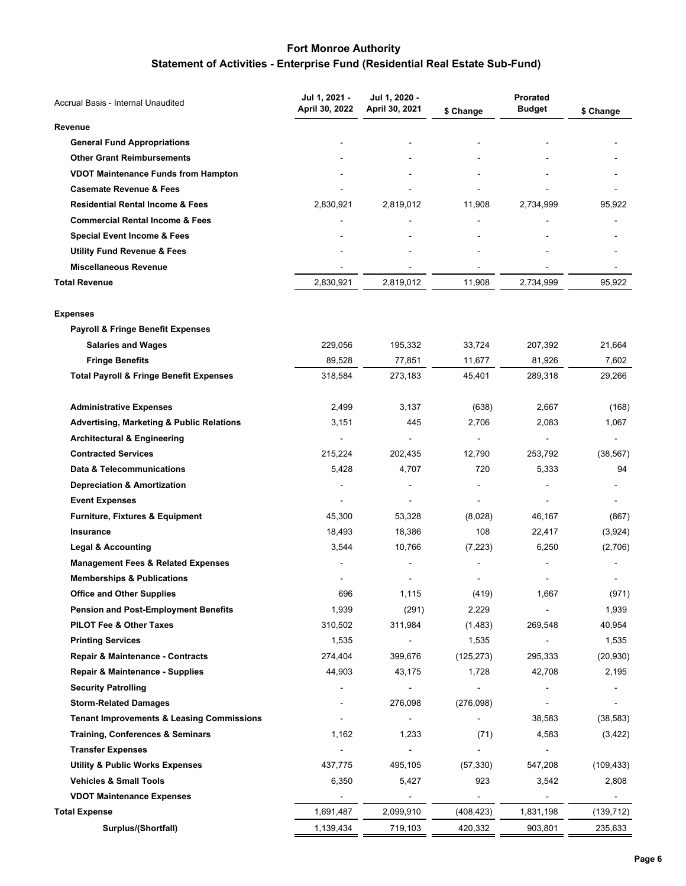# **Statement of Activities - Enterprise Fund (Residential Real Estate Sub-Fund)**

| April 30, 2022<br>April 30, 2021<br><b>Budget</b><br>\$ Change<br>\$ Change<br>Revenue<br><b>General Fund Appropriations</b><br><b>Other Grant Reimbursements</b><br><b>VDOT Maintenance Funds from Hampton</b><br><b>Casemate Revenue &amp; Fees</b><br><b>Residential Rental Income &amp; Fees</b><br>2,830,921<br>2,819,012<br>2,734,999<br>11,908<br>95,922<br><b>Commercial Rental Income &amp; Fees</b><br><b>Special Event Income &amp; Fees</b><br><b>Utility Fund Revenue &amp; Fees</b><br><b>Miscellaneous Revenue</b><br><b>Total Revenue</b><br>2,830,921<br>2,819,012<br>11,908<br>2,734,999<br>95,922<br><b>Expenses</b><br><b>Payroll &amp; Fringe Benefit Expenses</b><br><b>Salaries and Wages</b><br>229,056<br>195,332<br>33,724<br>207,392<br>21,664<br>77,851<br><b>Fringe Benefits</b><br>89,528<br>11,677<br>81,926<br>7,602<br><b>Total Payroll &amp; Fringe Benefit Expenses</b><br>318,584<br>273,183<br>45,401<br>289,318<br>29,266<br><b>Administrative Expenses</b><br>2,499<br>3,137<br>(638)<br>2,667<br>(168)<br><b>Advertising, Marketing &amp; Public Relations</b><br>3,151<br>445<br>2,706<br>2,083<br>1,067<br><b>Architectural &amp; Engineering</b><br><b>Contracted Services</b><br>215,224<br>12,790<br>253,792<br>202,435<br>(38, 567)<br>Data & Telecommunications<br>5,428<br>4,707<br>720<br>5,333<br>94<br><b>Depreciation &amp; Amortization</b><br><b>Event Expenses</b><br>Furniture, Fixtures & Equipment<br>45,300<br>53,328<br>(8,028)<br>46,167<br>(867)<br>108<br>Insurance<br>18,493<br>18,386<br>22,417<br>(3,924)<br><b>Legal &amp; Accounting</b><br>3,544<br>10,766<br>(7, 223)<br>(2,706)<br>6,250<br><b>Management Fees &amp; Related Expenses</b><br><b>Memberships &amp; Publications</b><br><b>Office and Other Supplies</b><br>696<br>1,115<br>(419)<br>1,667<br>(971)<br><b>Pension and Post-Employment Benefits</b><br>1,939<br>(291)<br>2,229<br>1,939<br>PILOT Fee & Other Taxes<br>310,502<br>311,984<br>269,548<br>40,954<br>(1,483)<br><b>Printing Services</b><br>1,535<br>1,535<br>1,535<br>$\overline{\phantom{a}}$<br>Repair & Maintenance - Contracts<br>274,404<br>399,676<br>(125, 273)<br>295,333<br>(20, 930)<br><b>Repair &amp; Maintenance - Supplies</b><br>44,903<br>43,175<br>42,708<br>2,195<br>1,728<br><b>Security Patrolling</b><br><b>Storm-Related Damages</b><br>276,098<br>(276,098)<br><b>Tenant Improvements &amp; Leasing Commissions</b><br>(38, 583)<br>38,583<br>$\blacksquare$<br><b>Training, Conferences &amp; Seminars</b><br>1,162<br>1,233<br>(71)<br>4,583<br>(3, 422)<br><b>Transfer Expenses</b><br>437,775<br><b>Utility &amp; Public Works Expenses</b><br>495,105<br>(57, 330)<br>547,208<br>(109, 433)<br><b>Vehicles &amp; Small Tools</b><br>6,350<br>5,427<br>923<br>3,542<br>2,808<br><b>VDOT Maintenance Expenses</b><br>1,691,487<br>2,099,910<br>(408, 423)<br>1,831,198<br>(139, 712)<br>Surplus/(Shortfall)<br>1,139,434<br>903,801<br>235,633<br>719,103<br>420,332 | Accrual Basis - Internal Unaudited | Jul 1, 2021 - | Jul 1, 2020 - | Prorated |  |
|-------------------------------------------------------------------------------------------------------------------------------------------------------------------------------------------------------------------------------------------------------------------------------------------------------------------------------------------------------------------------------------------------------------------------------------------------------------------------------------------------------------------------------------------------------------------------------------------------------------------------------------------------------------------------------------------------------------------------------------------------------------------------------------------------------------------------------------------------------------------------------------------------------------------------------------------------------------------------------------------------------------------------------------------------------------------------------------------------------------------------------------------------------------------------------------------------------------------------------------------------------------------------------------------------------------------------------------------------------------------------------------------------------------------------------------------------------------------------------------------------------------------------------------------------------------------------------------------------------------------------------------------------------------------------------------------------------------------------------------------------------------------------------------------------------------------------------------------------------------------------------------------------------------------------------------------------------------------------------------------------------------------------------------------------------------------------------------------------------------------------------------------------------------------------------------------------------------------------------------------------------------------------------------------------------------------------------------------------------------------------------------------------------------------------------------------------------------------------------------------------------------------------------------------------------------------------------------------------------------------------------------------------------------------------------------------------------------------------------------------------------------------------------------------------------------------------------------------------------------------------------------------------------------------------------------------------------------------------------------------------|------------------------------------|---------------|---------------|----------|--|
|                                                                                                                                                                                                                                                                                                                                                                                                                                                                                                                                                                                                                                                                                                                                                                                                                                                                                                                                                                                                                                                                                                                                                                                                                                                                                                                                                                                                                                                                                                                                                                                                                                                                                                                                                                                                                                                                                                                                                                                                                                                                                                                                                                                                                                                                                                                                                                                                                                                                                                                                                                                                                                                                                                                                                                                                                                                                                                                                                                                                 |                                    |               |               |          |  |
|                                                                                                                                                                                                                                                                                                                                                                                                                                                                                                                                                                                                                                                                                                                                                                                                                                                                                                                                                                                                                                                                                                                                                                                                                                                                                                                                                                                                                                                                                                                                                                                                                                                                                                                                                                                                                                                                                                                                                                                                                                                                                                                                                                                                                                                                                                                                                                                                                                                                                                                                                                                                                                                                                                                                                                                                                                                                                                                                                                                                 |                                    |               |               |          |  |
|                                                                                                                                                                                                                                                                                                                                                                                                                                                                                                                                                                                                                                                                                                                                                                                                                                                                                                                                                                                                                                                                                                                                                                                                                                                                                                                                                                                                                                                                                                                                                                                                                                                                                                                                                                                                                                                                                                                                                                                                                                                                                                                                                                                                                                                                                                                                                                                                                                                                                                                                                                                                                                                                                                                                                                                                                                                                                                                                                                                                 |                                    |               |               |          |  |
|                                                                                                                                                                                                                                                                                                                                                                                                                                                                                                                                                                                                                                                                                                                                                                                                                                                                                                                                                                                                                                                                                                                                                                                                                                                                                                                                                                                                                                                                                                                                                                                                                                                                                                                                                                                                                                                                                                                                                                                                                                                                                                                                                                                                                                                                                                                                                                                                                                                                                                                                                                                                                                                                                                                                                                                                                                                                                                                                                                                                 |                                    |               |               |          |  |
|                                                                                                                                                                                                                                                                                                                                                                                                                                                                                                                                                                                                                                                                                                                                                                                                                                                                                                                                                                                                                                                                                                                                                                                                                                                                                                                                                                                                                                                                                                                                                                                                                                                                                                                                                                                                                                                                                                                                                                                                                                                                                                                                                                                                                                                                                                                                                                                                                                                                                                                                                                                                                                                                                                                                                                                                                                                                                                                                                                                                 |                                    |               |               |          |  |
|                                                                                                                                                                                                                                                                                                                                                                                                                                                                                                                                                                                                                                                                                                                                                                                                                                                                                                                                                                                                                                                                                                                                                                                                                                                                                                                                                                                                                                                                                                                                                                                                                                                                                                                                                                                                                                                                                                                                                                                                                                                                                                                                                                                                                                                                                                                                                                                                                                                                                                                                                                                                                                                                                                                                                                                                                                                                                                                                                                                                 |                                    |               |               |          |  |
|                                                                                                                                                                                                                                                                                                                                                                                                                                                                                                                                                                                                                                                                                                                                                                                                                                                                                                                                                                                                                                                                                                                                                                                                                                                                                                                                                                                                                                                                                                                                                                                                                                                                                                                                                                                                                                                                                                                                                                                                                                                                                                                                                                                                                                                                                                                                                                                                                                                                                                                                                                                                                                                                                                                                                                                                                                                                                                                                                                                                 |                                    |               |               |          |  |
|                                                                                                                                                                                                                                                                                                                                                                                                                                                                                                                                                                                                                                                                                                                                                                                                                                                                                                                                                                                                                                                                                                                                                                                                                                                                                                                                                                                                                                                                                                                                                                                                                                                                                                                                                                                                                                                                                                                                                                                                                                                                                                                                                                                                                                                                                                                                                                                                                                                                                                                                                                                                                                                                                                                                                                                                                                                                                                                                                                                                 |                                    |               |               |          |  |
|                                                                                                                                                                                                                                                                                                                                                                                                                                                                                                                                                                                                                                                                                                                                                                                                                                                                                                                                                                                                                                                                                                                                                                                                                                                                                                                                                                                                                                                                                                                                                                                                                                                                                                                                                                                                                                                                                                                                                                                                                                                                                                                                                                                                                                                                                                                                                                                                                                                                                                                                                                                                                                                                                                                                                                                                                                                                                                                                                                                                 |                                    |               |               |          |  |
|                                                                                                                                                                                                                                                                                                                                                                                                                                                                                                                                                                                                                                                                                                                                                                                                                                                                                                                                                                                                                                                                                                                                                                                                                                                                                                                                                                                                                                                                                                                                                                                                                                                                                                                                                                                                                                                                                                                                                                                                                                                                                                                                                                                                                                                                                                                                                                                                                                                                                                                                                                                                                                                                                                                                                                                                                                                                                                                                                                                                 |                                    |               |               |          |  |
|                                                                                                                                                                                                                                                                                                                                                                                                                                                                                                                                                                                                                                                                                                                                                                                                                                                                                                                                                                                                                                                                                                                                                                                                                                                                                                                                                                                                                                                                                                                                                                                                                                                                                                                                                                                                                                                                                                                                                                                                                                                                                                                                                                                                                                                                                                                                                                                                                                                                                                                                                                                                                                                                                                                                                                                                                                                                                                                                                                                                 |                                    |               |               |          |  |
|                                                                                                                                                                                                                                                                                                                                                                                                                                                                                                                                                                                                                                                                                                                                                                                                                                                                                                                                                                                                                                                                                                                                                                                                                                                                                                                                                                                                                                                                                                                                                                                                                                                                                                                                                                                                                                                                                                                                                                                                                                                                                                                                                                                                                                                                                                                                                                                                                                                                                                                                                                                                                                                                                                                                                                                                                                                                                                                                                                                                 |                                    |               |               |          |  |
|                                                                                                                                                                                                                                                                                                                                                                                                                                                                                                                                                                                                                                                                                                                                                                                                                                                                                                                                                                                                                                                                                                                                                                                                                                                                                                                                                                                                                                                                                                                                                                                                                                                                                                                                                                                                                                                                                                                                                                                                                                                                                                                                                                                                                                                                                                                                                                                                                                                                                                                                                                                                                                                                                                                                                                                                                                                                                                                                                                                                 |                                    |               |               |          |  |
|                                                                                                                                                                                                                                                                                                                                                                                                                                                                                                                                                                                                                                                                                                                                                                                                                                                                                                                                                                                                                                                                                                                                                                                                                                                                                                                                                                                                                                                                                                                                                                                                                                                                                                                                                                                                                                                                                                                                                                                                                                                                                                                                                                                                                                                                                                                                                                                                                                                                                                                                                                                                                                                                                                                                                                                                                                                                                                                                                                                                 |                                    |               |               |          |  |
|                                                                                                                                                                                                                                                                                                                                                                                                                                                                                                                                                                                                                                                                                                                                                                                                                                                                                                                                                                                                                                                                                                                                                                                                                                                                                                                                                                                                                                                                                                                                                                                                                                                                                                                                                                                                                                                                                                                                                                                                                                                                                                                                                                                                                                                                                                                                                                                                                                                                                                                                                                                                                                                                                                                                                                                                                                                                                                                                                                                                 |                                    |               |               |          |  |
|                                                                                                                                                                                                                                                                                                                                                                                                                                                                                                                                                                                                                                                                                                                                                                                                                                                                                                                                                                                                                                                                                                                                                                                                                                                                                                                                                                                                                                                                                                                                                                                                                                                                                                                                                                                                                                                                                                                                                                                                                                                                                                                                                                                                                                                                                                                                                                                                                                                                                                                                                                                                                                                                                                                                                                                                                                                                                                                                                                                                 |                                    |               |               |          |  |
|                                                                                                                                                                                                                                                                                                                                                                                                                                                                                                                                                                                                                                                                                                                                                                                                                                                                                                                                                                                                                                                                                                                                                                                                                                                                                                                                                                                                                                                                                                                                                                                                                                                                                                                                                                                                                                                                                                                                                                                                                                                                                                                                                                                                                                                                                                                                                                                                                                                                                                                                                                                                                                                                                                                                                                                                                                                                                                                                                                                                 |                                    |               |               |          |  |
|                                                                                                                                                                                                                                                                                                                                                                                                                                                                                                                                                                                                                                                                                                                                                                                                                                                                                                                                                                                                                                                                                                                                                                                                                                                                                                                                                                                                                                                                                                                                                                                                                                                                                                                                                                                                                                                                                                                                                                                                                                                                                                                                                                                                                                                                                                                                                                                                                                                                                                                                                                                                                                                                                                                                                                                                                                                                                                                                                                                                 |                                    |               |               |          |  |
|                                                                                                                                                                                                                                                                                                                                                                                                                                                                                                                                                                                                                                                                                                                                                                                                                                                                                                                                                                                                                                                                                                                                                                                                                                                                                                                                                                                                                                                                                                                                                                                                                                                                                                                                                                                                                                                                                                                                                                                                                                                                                                                                                                                                                                                                                                                                                                                                                                                                                                                                                                                                                                                                                                                                                                                                                                                                                                                                                                                                 |                                    |               |               |          |  |
|                                                                                                                                                                                                                                                                                                                                                                                                                                                                                                                                                                                                                                                                                                                                                                                                                                                                                                                                                                                                                                                                                                                                                                                                                                                                                                                                                                                                                                                                                                                                                                                                                                                                                                                                                                                                                                                                                                                                                                                                                                                                                                                                                                                                                                                                                                                                                                                                                                                                                                                                                                                                                                                                                                                                                                                                                                                                                                                                                                                                 |                                    |               |               |          |  |
|                                                                                                                                                                                                                                                                                                                                                                                                                                                                                                                                                                                                                                                                                                                                                                                                                                                                                                                                                                                                                                                                                                                                                                                                                                                                                                                                                                                                                                                                                                                                                                                                                                                                                                                                                                                                                                                                                                                                                                                                                                                                                                                                                                                                                                                                                                                                                                                                                                                                                                                                                                                                                                                                                                                                                                                                                                                                                                                                                                                                 |                                    |               |               |          |  |
|                                                                                                                                                                                                                                                                                                                                                                                                                                                                                                                                                                                                                                                                                                                                                                                                                                                                                                                                                                                                                                                                                                                                                                                                                                                                                                                                                                                                                                                                                                                                                                                                                                                                                                                                                                                                                                                                                                                                                                                                                                                                                                                                                                                                                                                                                                                                                                                                                                                                                                                                                                                                                                                                                                                                                                                                                                                                                                                                                                                                 |                                    |               |               |          |  |
|                                                                                                                                                                                                                                                                                                                                                                                                                                                                                                                                                                                                                                                                                                                                                                                                                                                                                                                                                                                                                                                                                                                                                                                                                                                                                                                                                                                                                                                                                                                                                                                                                                                                                                                                                                                                                                                                                                                                                                                                                                                                                                                                                                                                                                                                                                                                                                                                                                                                                                                                                                                                                                                                                                                                                                                                                                                                                                                                                                                                 |                                    |               |               |          |  |
|                                                                                                                                                                                                                                                                                                                                                                                                                                                                                                                                                                                                                                                                                                                                                                                                                                                                                                                                                                                                                                                                                                                                                                                                                                                                                                                                                                                                                                                                                                                                                                                                                                                                                                                                                                                                                                                                                                                                                                                                                                                                                                                                                                                                                                                                                                                                                                                                                                                                                                                                                                                                                                                                                                                                                                                                                                                                                                                                                                                                 |                                    |               |               |          |  |
|                                                                                                                                                                                                                                                                                                                                                                                                                                                                                                                                                                                                                                                                                                                                                                                                                                                                                                                                                                                                                                                                                                                                                                                                                                                                                                                                                                                                                                                                                                                                                                                                                                                                                                                                                                                                                                                                                                                                                                                                                                                                                                                                                                                                                                                                                                                                                                                                                                                                                                                                                                                                                                                                                                                                                                                                                                                                                                                                                                                                 |                                    |               |               |          |  |
|                                                                                                                                                                                                                                                                                                                                                                                                                                                                                                                                                                                                                                                                                                                                                                                                                                                                                                                                                                                                                                                                                                                                                                                                                                                                                                                                                                                                                                                                                                                                                                                                                                                                                                                                                                                                                                                                                                                                                                                                                                                                                                                                                                                                                                                                                                                                                                                                                                                                                                                                                                                                                                                                                                                                                                                                                                                                                                                                                                                                 |                                    |               |               |          |  |
|                                                                                                                                                                                                                                                                                                                                                                                                                                                                                                                                                                                                                                                                                                                                                                                                                                                                                                                                                                                                                                                                                                                                                                                                                                                                                                                                                                                                                                                                                                                                                                                                                                                                                                                                                                                                                                                                                                                                                                                                                                                                                                                                                                                                                                                                                                                                                                                                                                                                                                                                                                                                                                                                                                                                                                                                                                                                                                                                                                                                 |                                    |               |               |          |  |
|                                                                                                                                                                                                                                                                                                                                                                                                                                                                                                                                                                                                                                                                                                                                                                                                                                                                                                                                                                                                                                                                                                                                                                                                                                                                                                                                                                                                                                                                                                                                                                                                                                                                                                                                                                                                                                                                                                                                                                                                                                                                                                                                                                                                                                                                                                                                                                                                                                                                                                                                                                                                                                                                                                                                                                                                                                                                                                                                                                                                 |                                    |               |               |          |  |
|                                                                                                                                                                                                                                                                                                                                                                                                                                                                                                                                                                                                                                                                                                                                                                                                                                                                                                                                                                                                                                                                                                                                                                                                                                                                                                                                                                                                                                                                                                                                                                                                                                                                                                                                                                                                                                                                                                                                                                                                                                                                                                                                                                                                                                                                                                                                                                                                                                                                                                                                                                                                                                                                                                                                                                                                                                                                                                                                                                                                 |                                    |               |               |          |  |
|                                                                                                                                                                                                                                                                                                                                                                                                                                                                                                                                                                                                                                                                                                                                                                                                                                                                                                                                                                                                                                                                                                                                                                                                                                                                                                                                                                                                                                                                                                                                                                                                                                                                                                                                                                                                                                                                                                                                                                                                                                                                                                                                                                                                                                                                                                                                                                                                                                                                                                                                                                                                                                                                                                                                                                                                                                                                                                                                                                                                 |                                    |               |               |          |  |
|                                                                                                                                                                                                                                                                                                                                                                                                                                                                                                                                                                                                                                                                                                                                                                                                                                                                                                                                                                                                                                                                                                                                                                                                                                                                                                                                                                                                                                                                                                                                                                                                                                                                                                                                                                                                                                                                                                                                                                                                                                                                                                                                                                                                                                                                                                                                                                                                                                                                                                                                                                                                                                                                                                                                                                                                                                                                                                                                                                                                 |                                    |               |               |          |  |
|                                                                                                                                                                                                                                                                                                                                                                                                                                                                                                                                                                                                                                                                                                                                                                                                                                                                                                                                                                                                                                                                                                                                                                                                                                                                                                                                                                                                                                                                                                                                                                                                                                                                                                                                                                                                                                                                                                                                                                                                                                                                                                                                                                                                                                                                                                                                                                                                                                                                                                                                                                                                                                                                                                                                                                                                                                                                                                                                                                                                 |                                    |               |               |          |  |
|                                                                                                                                                                                                                                                                                                                                                                                                                                                                                                                                                                                                                                                                                                                                                                                                                                                                                                                                                                                                                                                                                                                                                                                                                                                                                                                                                                                                                                                                                                                                                                                                                                                                                                                                                                                                                                                                                                                                                                                                                                                                                                                                                                                                                                                                                                                                                                                                                                                                                                                                                                                                                                                                                                                                                                                                                                                                                                                                                                                                 |                                    |               |               |          |  |
|                                                                                                                                                                                                                                                                                                                                                                                                                                                                                                                                                                                                                                                                                                                                                                                                                                                                                                                                                                                                                                                                                                                                                                                                                                                                                                                                                                                                                                                                                                                                                                                                                                                                                                                                                                                                                                                                                                                                                                                                                                                                                                                                                                                                                                                                                                                                                                                                                                                                                                                                                                                                                                                                                                                                                                                                                                                                                                                                                                                                 |                                    |               |               |          |  |
|                                                                                                                                                                                                                                                                                                                                                                                                                                                                                                                                                                                                                                                                                                                                                                                                                                                                                                                                                                                                                                                                                                                                                                                                                                                                                                                                                                                                                                                                                                                                                                                                                                                                                                                                                                                                                                                                                                                                                                                                                                                                                                                                                                                                                                                                                                                                                                                                                                                                                                                                                                                                                                                                                                                                                                                                                                                                                                                                                                                                 |                                    |               |               |          |  |
|                                                                                                                                                                                                                                                                                                                                                                                                                                                                                                                                                                                                                                                                                                                                                                                                                                                                                                                                                                                                                                                                                                                                                                                                                                                                                                                                                                                                                                                                                                                                                                                                                                                                                                                                                                                                                                                                                                                                                                                                                                                                                                                                                                                                                                                                                                                                                                                                                                                                                                                                                                                                                                                                                                                                                                                                                                                                                                                                                                                                 |                                    |               |               |          |  |
|                                                                                                                                                                                                                                                                                                                                                                                                                                                                                                                                                                                                                                                                                                                                                                                                                                                                                                                                                                                                                                                                                                                                                                                                                                                                                                                                                                                                                                                                                                                                                                                                                                                                                                                                                                                                                                                                                                                                                                                                                                                                                                                                                                                                                                                                                                                                                                                                                                                                                                                                                                                                                                                                                                                                                                                                                                                                                                                                                                                                 |                                    |               |               |          |  |
|                                                                                                                                                                                                                                                                                                                                                                                                                                                                                                                                                                                                                                                                                                                                                                                                                                                                                                                                                                                                                                                                                                                                                                                                                                                                                                                                                                                                                                                                                                                                                                                                                                                                                                                                                                                                                                                                                                                                                                                                                                                                                                                                                                                                                                                                                                                                                                                                                                                                                                                                                                                                                                                                                                                                                                                                                                                                                                                                                                                                 |                                    |               |               |          |  |
|                                                                                                                                                                                                                                                                                                                                                                                                                                                                                                                                                                                                                                                                                                                                                                                                                                                                                                                                                                                                                                                                                                                                                                                                                                                                                                                                                                                                                                                                                                                                                                                                                                                                                                                                                                                                                                                                                                                                                                                                                                                                                                                                                                                                                                                                                                                                                                                                                                                                                                                                                                                                                                                                                                                                                                                                                                                                                                                                                                                                 |                                    |               |               |          |  |
|                                                                                                                                                                                                                                                                                                                                                                                                                                                                                                                                                                                                                                                                                                                                                                                                                                                                                                                                                                                                                                                                                                                                                                                                                                                                                                                                                                                                                                                                                                                                                                                                                                                                                                                                                                                                                                                                                                                                                                                                                                                                                                                                                                                                                                                                                                                                                                                                                                                                                                                                                                                                                                                                                                                                                                                                                                                                                                                                                                                                 |                                    |               |               |          |  |
|                                                                                                                                                                                                                                                                                                                                                                                                                                                                                                                                                                                                                                                                                                                                                                                                                                                                                                                                                                                                                                                                                                                                                                                                                                                                                                                                                                                                                                                                                                                                                                                                                                                                                                                                                                                                                                                                                                                                                                                                                                                                                                                                                                                                                                                                                                                                                                                                                                                                                                                                                                                                                                                                                                                                                                                                                                                                                                                                                                                                 |                                    |               |               |          |  |
|                                                                                                                                                                                                                                                                                                                                                                                                                                                                                                                                                                                                                                                                                                                                                                                                                                                                                                                                                                                                                                                                                                                                                                                                                                                                                                                                                                                                                                                                                                                                                                                                                                                                                                                                                                                                                                                                                                                                                                                                                                                                                                                                                                                                                                                                                                                                                                                                                                                                                                                                                                                                                                                                                                                                                                                                                                                                                                                                                                                                 |                                    |               |               |          |  |
|                                                                                                                                                                                                                                                                                                                                                                                                                                                                                                                                                                                                                                                                                                                                                                                                                                                                                                                                                                                                                                                                                                                                                                                                                                                                                                                                                                                                                                                                                                                                                                                                                                                                                                                                                                                                                                                                                                                                                                                                                                                                                                                                                                                                                                                                                                                                                                                                                                                                                                                                                                                                                                                                                                                                                                                                                                                                                                                                                                                                 |                                    |               |               |          |  |
|                                                                                                                                                                                                                                                                                                                                                                                                                                                                                                                                                                                                                                                                                                                                                                                                                                                                                                                                                                                                                                                                                                                                                                                                                                                                                                                                                                                                                                                                                                                                                                                                                                                                                                                                                                                                                                                                                                                                                                                                                                                                                                                                                                                                                                                                                                                                                                                                                                                                                                                                                                                                                                                                                                                                                                                                                                                                                                                                                                                                 | <b>Total Expense</b>               |               |               |          |  |
|                                                                                                                                                                                                                                                                                                                                                                                                                                                                                                                                                                                                                                                                                                                                                                                                                                                                                                                                                                                                                                                                                                                                                                                                                                                                                                                                                                                                                                                                                                                                                                                                                                                                                                                                                                                                                                                                                                                                                                                                                                                                                                                                                                                                                                                                                                                                                                                                                                                                                                                                                                                                                                                                                                                                                                                                                                                                                                                                                                                                 |                                    |               |               |          |  |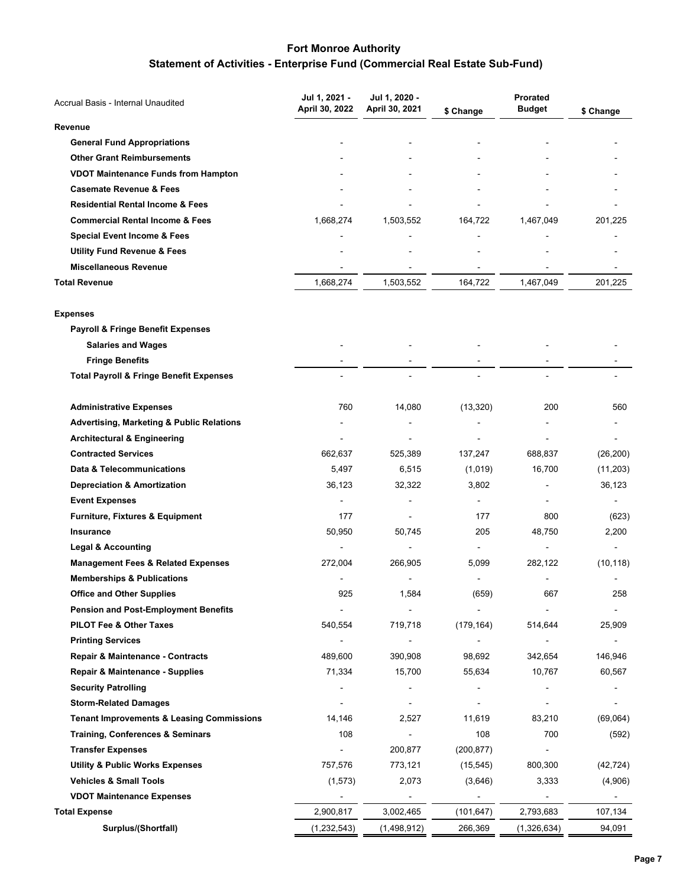# **Statement of Activities - Enterprise Fund (Commercial Real Estate Sub-Fund)**

| Accrual Basis - Internal Unaudited                   | Jul 1, 2021 -  | Jul 1, 2020 -  |                | Prorated      |           |
|------------------------------------------------------|----------------|----------------|----------------|---------------|-----------|
|                                                      | April 30, 2022 | April 30, 2021 | \$ Change      | <b>Budget</b> | \$ Change |
| Revenue                                              |                |                |                |               |           |
| <b>General Fund Appropriations</b>                   |                |                |                |               |           |
| <b>Other Grant Reimbursements</b>                    |                |                |                |               |           |
| <b>VDOT Maintenance Funds from Hampton</b>           |                |                |                |               |           |
| <b>Casemate Revenue &amp; Fees</b>                   |                |                |                |               |           |
| <b>Residential Rental Income &amp; Fees</b>          |                |                |                |               |           |
| <b>Commercial Rental Income &amp; Fees</b>           | 1,668,274      | 1,503,552      | 164,722        | 1,467,049     | 201,225   |
| <b>Special Event Income &amp; Fees</b>               |                |                |                |               |           |
| <b>Utility Fund Revenue &amp; Fees</b>               |                |                |                |               |           |
| <b>Miscellaneous Revenue</b>                         |                |                |                |               |           |
| <b>Total Revenue</b>                                 | 1,668,274      | 1,503,552      | 164,722        | 1,467,049     | 201,225   |
| <b>Expenses</b>                                      |                |                |                |               |           |
| <b>Payroll &amp; Fringe Benefit Expenses</b>         |                |                |                |               |           |
| <b>Salaries and Wages</b>                            |                |                |                |               |           |
| <b>Fringe Benefits</b>                               |                |                |                |               |           |
| <b>Total Payroll &amp; Fringe Benefit Expenses</b>   | $\blacksquare$ | $\blacksquare$ |                | ۰             |           |
| <b>Administrative Expenses</b>                       | 760            | 14,080         | (13, 320)      | 200           | 560       |
| <b>Advertising, Marketing &amp; Public Relations</b> |                |                |                |               |           |
| <b>Architectural &amp; Engineering</b>               |                |                |                |               |           |
| <b>Contracted Services</b>                           | 662,637        | 525,389        | 137,247        | 688,837       | (26, 200) |
| Data & Telecommunications                            | 5,497          | 6,515          | (1,019)        | 16,700        | (11, 203) |
| <b>Depreciation &amp; Amortization</b>               | 36,123         | 32,322         | 3,802          |               | 36,123    |
| <b>Event Expenses</b>                                |                |                |                |               |           |
| <b>Furniture, Fixtures &amp; Equipment</b>           | 177            |                | 177            | 800           | (623)     |
| Insurance                                            | 50,950         | 50,745         | 205            | 48,750        | 2,200     |
| <b>Legal &amp; Accounting</b>                        | ÷,             |                | $\blacksquare$ | ÷             |           |
| <b>Management Fees &amp; Related Expenses</b>        | 272,004        | 266,905        | 5,099          | 282,122       | (10, 118) |
| <b>Memberships &amp; Publications</b>                |                |                |                |               |           |
| <b>Office and Other Supplies</b>                     | 925            | 1,584          | (659)          | 667           | 258       |
| <b>Pension and Post-Employment Benefits</b>          |                |                |                |               |           |
| PILOT Fee & Other Taxes                              | 540,554        | 719,718        | (179, 164)     | 514,644       | 25,909    |
| <b>Printing Services</b>                             | $\overline{a}$ |                | $\blacksquare$ |               |           |
| Repair & Maintenance - Contracts                     | 489,600        | 390,908        | 98,692         | 342,654       | 146,946   |
| <b>Repair &amp; Maintenance - Supplies</b>           | 71,334         | 15,700         | 55,634         | 10,767        | 60,567    |
| <b>Security Patrolling</b>                           |                |                |                |               |           |
| <b>Storm-Related Damages</b>                         |                |                |                |               |           |
| <b>Tenant Improvements &amp; Leasing Commissions</b> | 14,146         | 2,527          | 11,619         | 83,210        | (69,064)  |
| <b>Training, Conferences &amp; Seminars</b>          | 108            |                | 108            | 700           | (592)     |
| <b>Transfer Expenses</b>                             |                | 200,877        | (200, 877)     |               |           |
| <b>Utility &amp; Public Works Expenses</b>           | 757,576        | 773,121        | (15, 545)      | 800,300       | (42, 724) |
| <b>Vehicles &amp; Small Tools</b>                    | (1, 573)       | 2,073          | (3,646)        | 3,333         | (4,906)   |
| <b>VDOT Maintenance Expenses</b>                     |                |                |                |               |           |
| <b>Total Expense</b>                                 | 2,900,817      | 3,002,465      | (101,647)      | 2,793,683     | 107,134   |
| Surplus/(Shortfall)                                  | (1, 232, 543)  | (1,498,912)    | 266,369        | (1,326,634)   | 94,091    |
|                                                      |                |                |                |               |           |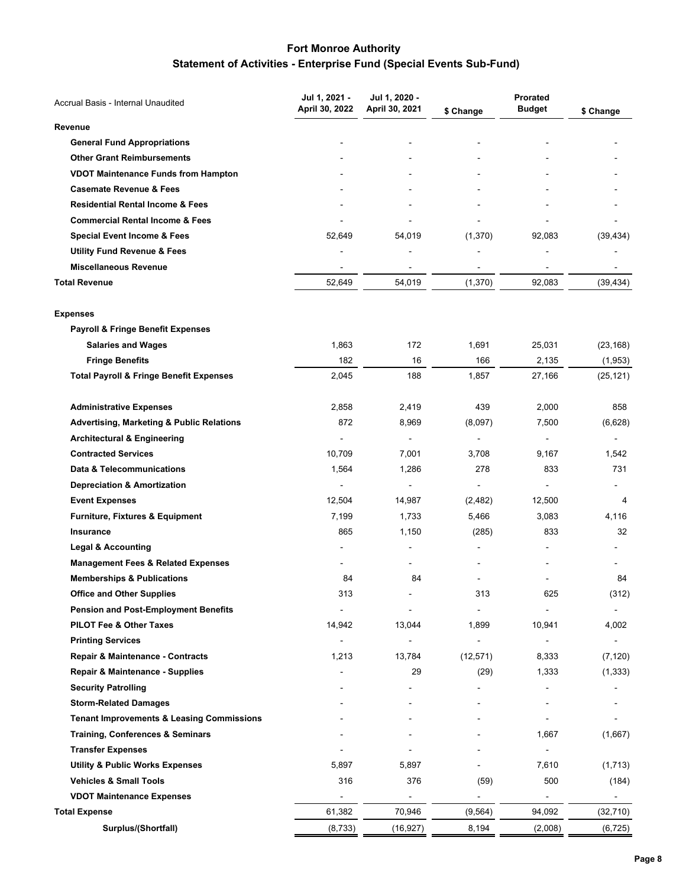# **Fort Monroe Authority Statement of Activities - Enterprise Fund (Special Events Sub-Fund)**

| Accrual Basis - Internal Unaudited                   | Jul 1, 2021 -  | Jul 1, 2020 -  |                | <b>Prorated</b> |                |
|------------------------------------------------------|----------------|----------------|----------------|-----------------|----------------|
|                                                      | April 30, 2022 | April 30, 2021 | \$ Change      | <b>Budget</b>   | \$ Change      |
| Revenue                                              |                |                |                |                 |                |
| <b>General Fund Appropriations</b>                   |                |                |                |                 |                |
| <b>Other Grant Reimbursements</b>                    |                |                |                |                 |                |
| <b>VDOT Maintenance Funds from Hampton</b>           |                |                |                |                 |                |
| <b>Casemate Revenue &amp; Fees</b>                   |                |                |                |                 |                |
| <b>Residential Rental Income &amp; Fees</b>          |                |                |                |                 |                |
| <b>Commercial Rental Income &amp; Fees</b>           |                |                |                |                 |                |
| <b>Special Event Income &amp; Fees</b>               | 52,649         | 54,019         | (1,370)        | 92,083          | (39, 434)      |
| <b>Utility Fund Revenue &amp; Fees</b>               |                |                |                |                 |                |
| <b>Miscellaneous Revenue</b>                         |                |                |                |                 |                |
| <b>Total Revenue</b>                                 | 52,649         | 54,019         | (1,370)        | 92,083          | (39, 434)      |
| <b>Expenses</b>                                      |                |                |                |                 |                |
| <b>Payroll &amp; Fringe Benefit Expenses</b>         |                |                |                |                 |                |
| <b>Salaries and Wages</b>                            | 1,863          | 172            | 1,691          | 25,031          | (23, 168)      |
| <b>Fringe Benefits</b>                               | 182            | 16             | 166            | 2,135           | (1,953)        |
| <b>Total Payroll &amp; Fringe Benefit Expenses</b>   | 2,045          | 188            | 1,857          | 27,166          | (25, 121)      |
| <b>Administrative Expenses</b>                       | 2,858          | 2,419          | 439            | 2,000           | 858            |
| <b>Advertising, Marketing &amp; Public Relations</b> | 872            | 8,969          | (8,097)        | 7,500           | (6,628)        |
| <b>Architectural &amp; Engineering</b>               | $\overline{a}$ | $\blacksquare$ |                | ÷,              |                |
| <b>Contracted Services</b>                           | 10,709         | 7,001          | 3,708          | 9,167           | 1,542          |
| Data & Telecommunications                            | 1,564          | 1,286          | 278            | 833             | 731            |
| <b>Depreciation &amp; Amortization</b>               | $\overline{a}$ | ÷,             | $\blacksquare$ |                 |                |
| <b>Event Expenses</b>                                | 12,504         | 14,987         | (2,482)        | 12,500          | 4              |
| Furniture, Fixtures & Equipment                      | 7,199          | 1,733          | 5,466          | 3,083           | 4,116          |
| Insurance                                            | 865            | 1,150          | (285)          | 833             | 32             |
| <b>Legal &amp; Accounting</b>                        | ۰              |                |                |                 |                |
| <b>Management Fees &amp; Related Expenses</b>        |                |                |                |                 |                |
| <b>Memberships &amp; Publications</b>                | 84             | 84             |                |                 | 84             |
| <b>Office and Other Supplies</b>                     | 313            |                | 313            | 625             | (312)          |
| <b>Pension and Post-Employment Benefits</b>          |                |                |                |                 |                |
| <b>PILOT Fee &amp; Other Taxes</b>                   | 14,942         | 13,044         | 1,899          | 10,941          | 4,002          |
| <b>Printing Services</b>                             | $\overline{a}$ |                | $\blacksquare$ | ÷,              | $\overline{a}$ |
| Repair & Maintenance - Contracts                     | 1,213          | 13,784         | (12, 571)      | 8,333           | (7, 120)       |
| Repair & Maintenance - Supplies                      |                | 29             | (29)           | 1,333           | (1, 333)       |
| <b>Security Patrolling</b>                           |                |                |                |                 |                |
| <b>Storm-Related Damages</b>                         |                |                |                |                 |                |
| <b>Tenant Improvements &amp; Leasing Commissions</b> |                |                |                |                 |                |
| <b>Training, Conferences &amp; Seminars</b>          |                |                |                | 1,667           | (1,667)        |
| <b>Transfer Expenses</b>                             |                |                |                |                 |                |
| <b>Utility &amp; Public Works Expenses</b>           | 5,897          | 5,897          |                | 7,610           | (1,713)        |
| <b>Vehicles &amp; Small Tools</b>                    | 316            | 376            | (59)           | 500             | (184)          |
| <b>VDOT Maintenance Expenses</b>                     |                |                |                |                 |                |
| <b>Total Expense</b>                                 | 61,382         | 70,946         | (9, 564)       | 94,092          | (32, 710)      |
| Surplus/(Shortfall)                                  | (8, 733)       | (16, 927)      | 8,194          | (2,008)         | (6, 725)       |
|                                                      |                |                |                |                 |                |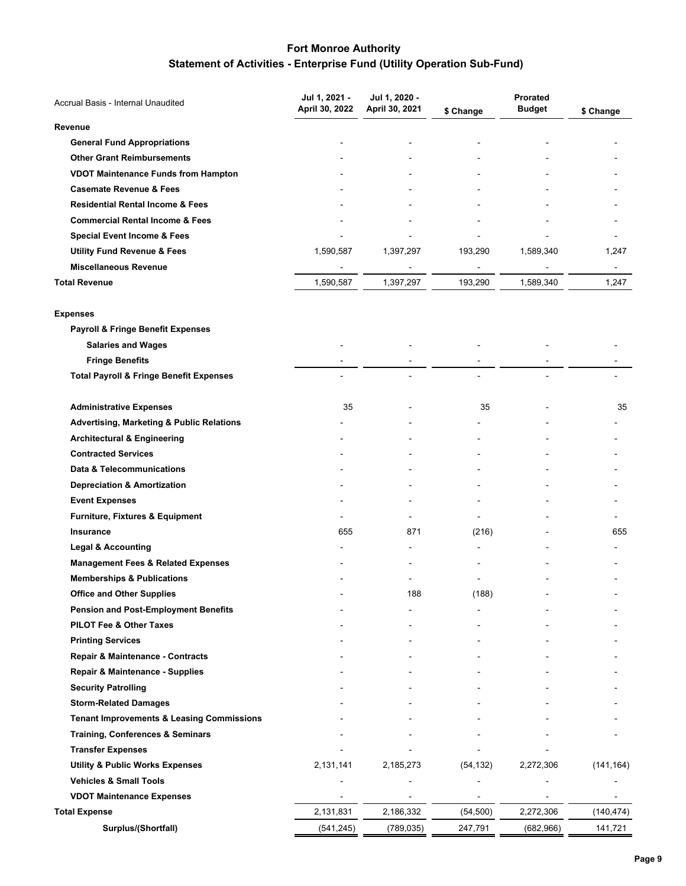# **Fort Monroe Authority Statement of Activities - Enterprise Fund (Utility Operation Sub-Fund)**

| Accrual Basis - Internal Unaudited                   | Jul 1, 2021 -  | Jul 1, 2020 -  |           | Prorated      |            |
|------------------------------------------------------|----------------|----------------|-----------|---------------|------------|
|                                                      | April 30, 2022 | April 30, 2021 | \$ Change | <b>Budget</b> | \$ Change  |
| Revenue                                              |                |                |           |               |            |
| <b>General Fund Appropriations</b>                   |                |                |           |               |            |
| <b>Other Grant Reimbursements</b>                    |                |                |           |               |            |
| <b>VDOT Maintenance Funds from Hampton</b>           |                |                |           |               |            |
| <b>Casemate Revenue &amp; Fees</b>                   |                |                |           |               |            |
| <b>Residential Rental Income &amp; Fees</b>          |                |                |           |               |            |
| <b>Commercial Rental Income &amp; Fees</b>           |                |                |           |               |            |
| Special Event Income & Fees                          |                |                |           |               |            |
| <b>Utility Fund Revenue &amp; Fees</b>               | 1,590,587      | 1,397,297      | 193,290   | 1,589,340     | 1,247      |
| <b>Miscellaneous Revenue</b>                         |                |                |           |               |            |
| <b>Total Revenue</b>                                 | 1,590,587      | 1,397,297      | 193,290   | 1,589,340     | 1,247      |
| <b>Expenses</b>                                      |                |                |           |               |            |
| Payroll & Fringe Benefit Expenses                    |                |                |           |               |            |
| <b>Salaries and Wages</b>                            |                |                |           |               |            |
| <b>Fringe Benefits</b>                               |                |                |           |               |            |
| <b>Total Payroll &amp; Fringe Benefit Expenses</b>   |                | L,             |           |               |            |
| <b>Administrative Expenses</b>                       | 35             |                | 35        |               | 35         |
| <b>Advertising, Marketing &amp; Public Relations</b> |                |                |           |               |            |
| <b>Architectural &amp; Engineering</b>               |                |                |           |               |            |
| <b>Contracted Services</b>                           |                |                |           |               |            |
| Data & Telecommunications                            |                |                |           |               |            |
| <b>Depreciation &amp; Amortization</b>               |                |                |           |               |            |
| <b>Event Expenses</b>                                |                |                |           |               |            |
| Furniture, Fixtures & Equipment                      |                |                |           |               |            |
| <b>Insurance</b>                                     | 655            | 871            | (216)     |               | 655        |
| <b>Legal &amp; Accounting</b>                        |                |                |           |               |            |
| <b>Management Fees &amp; Related Expenses</b>        |                |                |           |               |            |
| <b>Memberships &amp; Publications</b>                |                |                |           |               |            |
| <b>Office and Other Supplies</b>                     |                | 188            | (188)     |               |            |
| <b>Pension and Post-Employment Benefits</b>          |                |                |           |               |            |
| <b>PILOT Fee &amp; Other Taxes</b>                   |                |                |           |               |            |
| <b>Printing Services</b>                             |                |                |           |               |            |
| Repair & Maintenance - Contracts                     |                |                |           |               |            |
| Repair & Maintenance - Supplies                      |                |                |           |               |            |
| <b>Security Patrolling</b>                           |                |                |           |               |            |
| <b>Storm-Related Damages</b>                         |                |                |           |               |            |
| <b>Tenant Improvements &amp; Leasing Commissions</b> |                |                |           |               |            |
| <b>Training, Conferences &amp; Seminars</b>          |                |                |           |               |            |
| <b>Transfer Expenses</b>                             |                |                |           |               |            |
| <b>Utility &amp; Public Works Expenses</b>           | 2,131,141      | 2,185,273      | (54, 132) | 2,272,306     | (141, 164) |
| <b>Vehicles &amp; Small Tools</b>                    |                |                |           |               |            |
| <b>VDOT Maintenance Expenses</b>                     |                |                |           |               |            |
| <b>Total Expense</b>                                 | 2,131,831      | 2,186,332      | (54, 500) | 2,272,306     | (140, 474) |
| Surplus/(Shortfall)                                  | (541, 245)     | (789, 035)     | 247,791   | (682, 966)    | 141,721    |
|                                                      |                |                |           |               |            |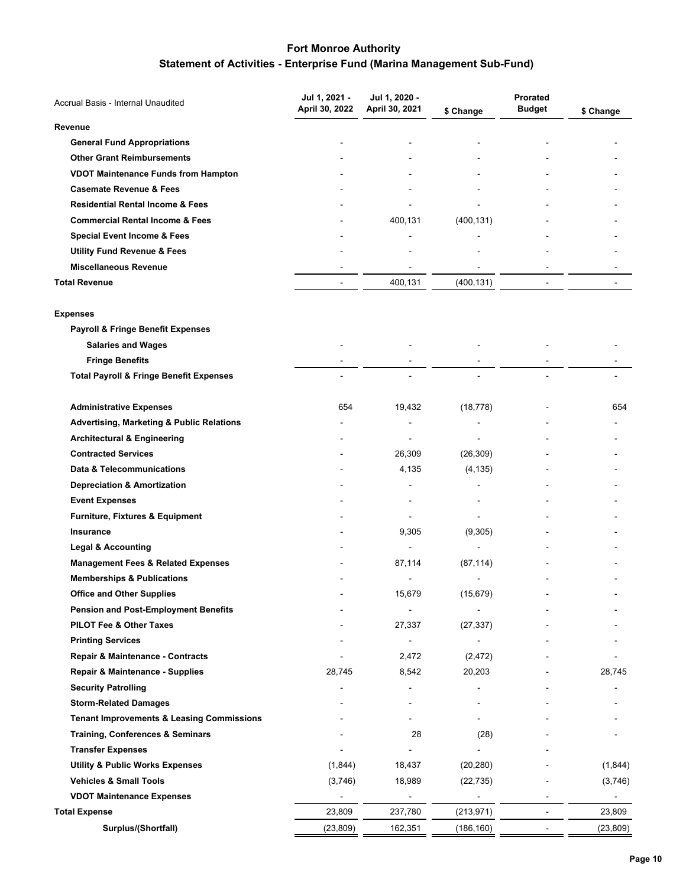# **Statement of Activities - Enterprise Fund (Marina Management Sub-Fund)**

| Accrual Basis - Internal Unaudited                   | Jul 1, 2021 -  | Jul 1, 2020 -            |                          | Prorated       |           |
|------------------------------------------------------|----------------|--------------------------|--------------------------|----------------|-----------|
|                                                      | April 30, 2022 | April 30, 2021           | \$ Change                | <b>Budget</b>  | \$ Change |
| Revenue                                              |                |                          |                          |                |           |
| <b>General Fund Appropriations</b>                   |                |                          |                          |                |           |
| <b>Other Grant Reimbursements</b>                    |                |                          |                          |                |           |
| <b>VDOT Maintenance Funds from Hampton</b>           |                |                          |                          |                |           |
| <b>Casemate Revenue &amp; Fees</b>                   |                |                          |                          |                |           |
| <b>Residential Rental Income &amp; Fees</b>          |                |                          |                          |                |           |
| <b>Commercial Rental Income &amp; Fees</b>           |                | 400,131                  | (400, 131)               |                |           |
| <b>Special Event Income &amp; Fees</b>               |                |                          |                          |                |           |
| <b>Utility Fund Revenue &amp; Fees</b>               |                |                          |                          |                |           |
| <b>Miscellaneous Revenue</b>                         |                |                          |                          |                |           |
| <b>Total Revenue</b>                                 | $\frac{1}{2}$  | 400,131                  | (400, 131)               | $\blacksquare$ |           |
| <b>Expenses</b>                                      |                |                          |                          |                |           |
| <b>Payroll &amp; Fringe Benefit Expenses</b>         |                |                          |                          |                |           |
| <b>Salaries and Wages</b>                            |                |                          |                          |                |           |
| <b>Fringe Benefits</b>                               |                |                          |                          |                |           |
| <b>Total Payroll &amp; Fringe Benefit Expenses</b>   |                |                          |                          |                |           |
| <b>Administrative Expenses</b>                       | 654            | 19,432                   | (18, 778)                |                | 654       |
| <b>Advertising, Marketing &amp; Public Relations</b> |                |                          |                          |                |           |
| <b>Architectural &amp; Engineering</b>               |                | $\overline{\phantom{a}}$ |                          |                |           |
| <b>Contracted Services</b>                           |                | 26,309                   | (26, 309)                |                |           |
| Data & Telecommunications                            |                | 4,135                    | (4, 135)                 |                |           |
| <b>Depreciation &amp; Amortization</b>               |                |                          |                          |                |           |
| <b>Event Expenses</b>                                |                |                          |                          |                |           |
| Furniture, Fixtures & Equipment                      |                |                          |                          |                |           |
| Insurance                                            |                | 9,305                    | (9,305)                  |                |           |
| <b>Legal &amp; Accounting</b>                        |                | $\blacksquare$           |                          |                |           |
| <b>Management Fees &amp; Related Expenses</b>        |                | 87,114                   | (87, 114)                |                |           |
| <b>Memberships &amp; Publications</b>                |                |                          |                          |                |           |
| <b>Office and Other Supplies</b>                     |                | 15,679                   | (15, 679)                |                |           |
| <b>Pension and Post-Employment Benefits</b>          |                |                          |                          |                |           |
| PILOT Fee & Other Taxes                              |                | 27,337                   | (27, 337)                |                |           |
| <b>Printing Services</b>                             |                |                          | $\overline{\phantom{a}}$ |                |           |
| Repair & Maintenance - Contracts                     |                | 2,472                    | (2, 472)                 |                |           |
| Repair & Maintenance - Supplies                      | 28,745         | 8,542                    | 20,203                   |                | 28,745    |
| <b>Security Patrolling</b>                           |                |                          |                          |                |           |
| <b>Storm-Related Damages</b>                         |                |                          |                          |                |           |
| <b>Tenant Improvements &amp; Leasing Commissions</b> |                |                          |                          |                |           |
| <b>Training, Conferences &amp; Seminars</b>          |                | 28                       | (28)                     |                |           |
| <b>Transfer Expenses</b>                             |                |                          |                          |                |           |
| <b>Utility &amp; Public Works Expenses</b>           | (1,844)        | 18,437                   | (20, 280)                |                | (1,844)   |
| <b>Vehicles &amp; Small Tools</b>                    | (3,746)        | 18,989                   | (22, 735)                |                | (3,746)   |
| <b>VDOT Maintenance Expenses</b>                     |                |                          |                          |                |           |
| <b>Total Expense</b>                                 | 23,809         | 237,780                  | (213, 971)               | $\overline{a}$ | 23,809    |
| Surplus/(Shortfall)                                  | (23, 809)      | 162,351                  | (186, 160)               |                | (23, 809) |
|                                                      |                |                          |                          |                |           |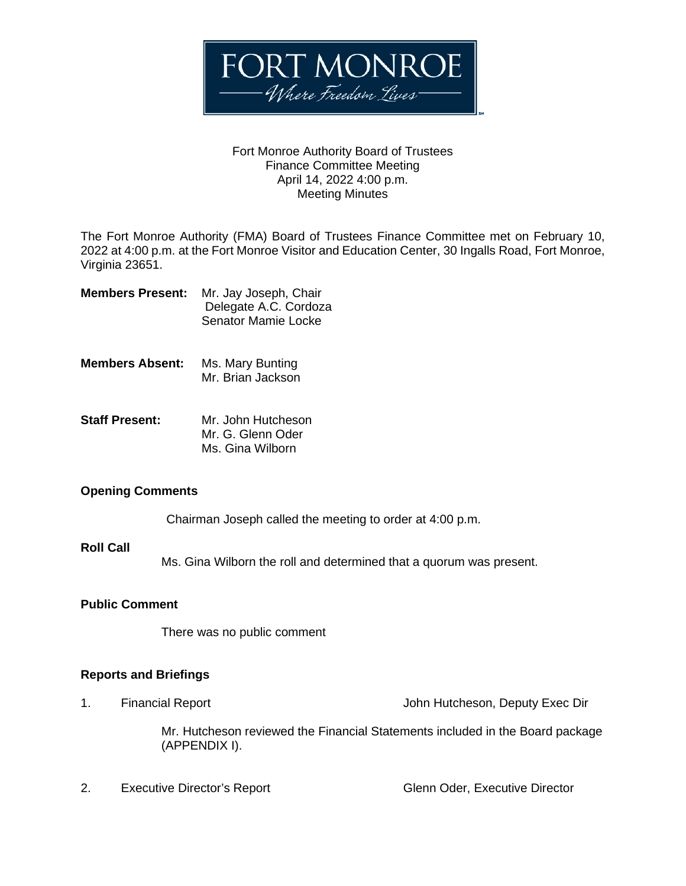

#### Fort Monroe Authority Board of Trustees Finance Committee Meeting April 14, 2022 4:00 p.m. Meeting Minutes

The Fort Monroe Authority (FMA) Board of Trustees Finance Committee met on February 10, 2022 at 4:00 p.m. at the Fort Monroe Visitor and Education Center, 30 Ingalls Road, Fort Monroe, Virginia 23651.

| <b>Members Present:</b> | Mr. Jay Joseph, Chair |
|-------------------------|-----------------------|
|                         | Delegate A.C. Cordoza |
|                         | Senator Mamie Locke   |

- **Members Absent:** Ms. Mary Bunting Mr. Brian Jackson
- **Staff Present:** Mr. John Hutcheson Mr. G. Glenn Oder Ms. Gina Wilborn

### **Opening Comments**

Chairman Joseph called the meeting to order at 4:00 p.m.

### **Roll Call**

Ms. Gina Wilborn the roll and determined that a quorum was present.

#### **Public Comment**

There was no public comment

### **Reports and Briefings**

1. Financial Report John Hutcheson, Deputy Exec Dir

Mr. Hutcheson reviewed the Financial Statements included in the Board package (APPENDIX I).

2. Executive Director's Report Glenn Oder, Executive Director